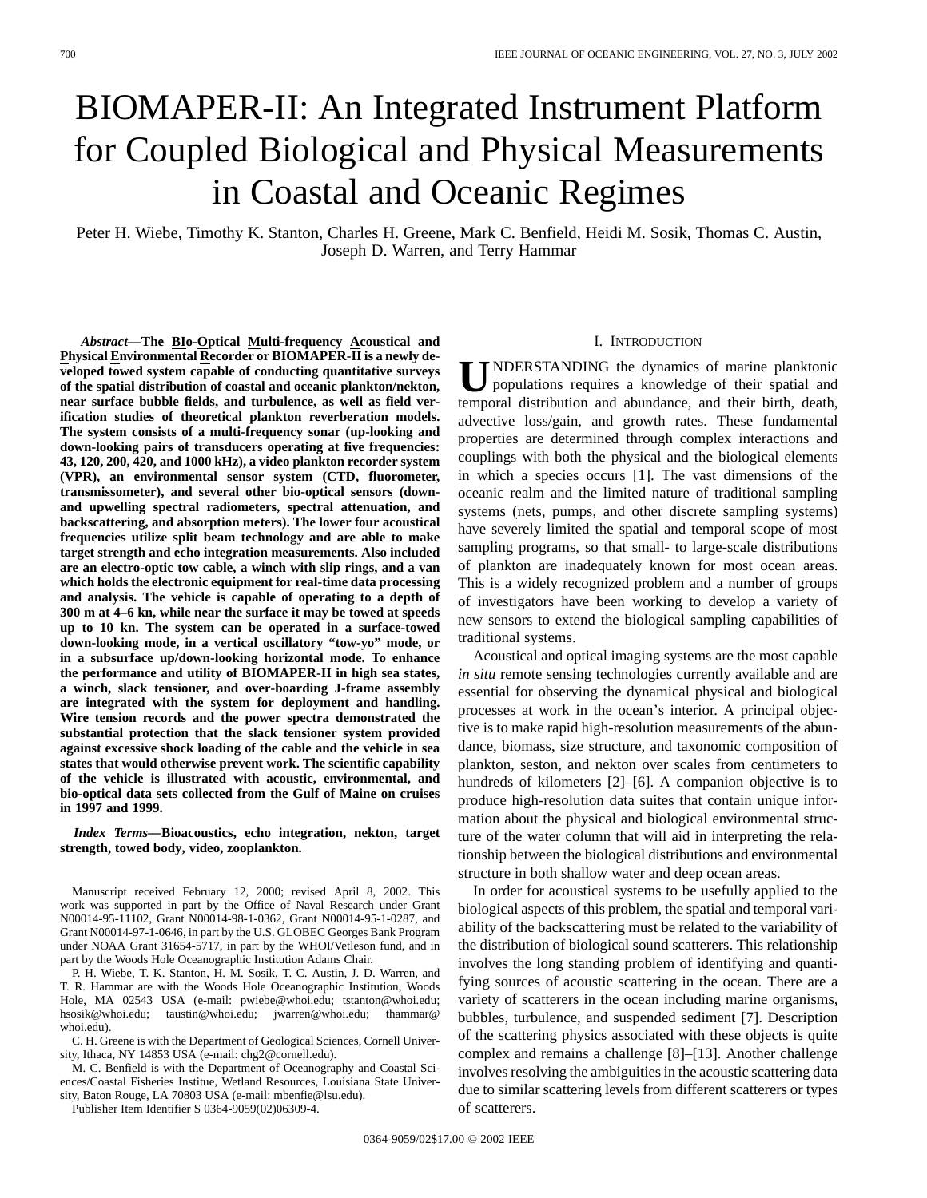# BIOMAPER-II: An Integrated Instrument Platform for Coupled Biological and Physical Measurements in Coastal and Oceanic Regimes

Peter H. Wiebe, Timothy K. Stanton, Charles H. Greene, Mark C. Benfield, Heidi M. Sosik, Thomas C. Austin, Joseph D. Warren, and Terry Hammar

*Abstract—***The BIo-Optical Multi-frequency Acoustical and Physical Environmental Recorder or BIOMAPER-II is a newly developed towed system capable of conducting quantitative surveys of the spatial distribution of coastal and oceanic plankton/nekton, near surface bubble fields, and turbulence, as well as field verification studies of theoretical plankton reverberation models. The system consists of a multi-frequency sonar (up-looking and down-looking pairs of transducers operating at five frequencies: 43, 120, 200, 420, and 1000 kHz), a video plankton recorder system (VPR), an environmental sensor system (CTD, fluorometer, transmissometer), and several other bio-optical sensors (downand upwelling spectral radiometers, spectral attenuation, and backscattering, and absorption meters). The lower four acoustical frequencies utilize split beam technology and are able to make target strength and echo integration measurements. Also included are an electro-optic tow cable, a winch with slip rings, and a van which holds the electronic equipment for real-time data processing and analysis. The vehicle is capable of operating to a depth of 300 m at 4–6 kn, while near the surface it may be towed at speeds up to 10 kn. The system can be operated in a surface-towed down-looking mode, in a vertical oscillatory "tow-yo" mode, or in a subsurface up/down-looking horizontal mode. To enhance the performance and utility of BIOMAPER-II in high sea states, a winch, slack tensioner, and over-boarding J-frame assembly are integrated with the system for deployment and handling. Wire tension records and the power spectra demonstrated the substantial protection that the slack tensioner system provided against excessive shock loading of the cable and the vehicle in sea states that would otherwise prevent work. The scientific capability of the vehicle is illustrated with acoustic, environmental, and bio-optical data sets collected from the Gulf of Maine on cruises in 1997 and 1999.**

*Index Terms—***Bioacoustics, echo integration, nekton, target strength, towed body, video, zooplankton.**

P. H. Wiebe, T. K. Stanton, H. M. Sosik, T. C. Austin, J. D. Warren, and T. R. Hammar are with the Woods Hole Oceanographic Institution, Woods Hole, MA 02543 USA (e-mail: pwiebe@whoi.edu; tstanton@whoi.edu; hsosik@whoi.edu; taustin@whoi.edu; jwarren@whoi.edu; thammar@ whoi.edu).

C. H. Greene is with the Department of Geological Sciences, Cornell University, Ithaca, NY 14853 USA (e-mail: chg2@cornell.edu).

M. C. Benfield is with the Department of Oceanography and Coastal Sciences/Coastal Fisheries Institue, Wetland Resources, Louisiana State University, Baton Rouge, LA 70803 USA (e-mail: mbenfie@lsu.edu).

Publisher Item Identifier S 0364-9059(02)06309-4.

# I. INTRODUCTION

**NDERSTANDING** the dynamics of marine planktonic populations requires a knowledge of their spatial and temporal distribution and abundance, and their birth, death, advective loss/gain, and growth rates. These fundamental properties are determined through complex interactions and couplings with both the physical and the biological elements in which a species occurs [1]. The vast dimensions of the oceanic realm and the limited nature of traditional sampling systems (nets, pumps, and other discrete sampling systems) have severely limited the spatial and temporal scope of most sampling programs, so that small- to large-scale distributions of plankton are inadequately known for most ocean areas. This is a widely recognized problem and a number of groups of investigators have been working to develop a variety of new sensors to extend the biological sampling capabilities of traditional systems.

Acoustical and optical imaging systems are the most capable *in situ* remote sensing technologies currently available and are essential for observing the dynamical physical and biological processes at work in the ocean's interior. A principal objective is to make rapid high-resolution measurements of the abundance, biomass, size structure, and taxonomic composition of plankton, seston, and nekton over scales from centimeters to hundreds of kilometers [2]–[6]. A companion objective is to produce high-resolution data suites that contain unique information about the physical and biological environmental structure of the water column that will aid in interpreting the relationship between the biological distributions and environmental structure in both shallow water and deep ocean areas.

In order for acoustical systems to be usefully applied to the biological aspects of this problem, the spatial and temporal variability of the backscattering must be related to the variability of the distribution of biological sound scatterers. This relationship involves the long standing problem of identifying and quantifying sources of acoustic scattering in the ocean. There are a variety of scatterers in the ocean including marine organisms, bubbles, turbulence, and suspended sediment [7]. Description of the scattering physics associated with these objects is quite complex and remains a challenge [8]–[13]. Another challenge involves resolving the ambiguities in the acoustic scattering data due to similar scattering levels from different scatterers or types of scatterers.

Manuscript received February 12, 2000; revised April 8, 2002. This work was supported in part by the Office of Naval Research under Grant N00014-95-11102, Grant N00014-98-1-0362, Grant N00014-95-1-0287, and Grant N00014-97-1-0646, in part by the U.S. GLOBEC Georges Bank Program under NOAA Grant 31654-5717, in part by the WHOI/Vetleson fund, and in part by the Woods Hole Oceanographic Institution Adams Chair.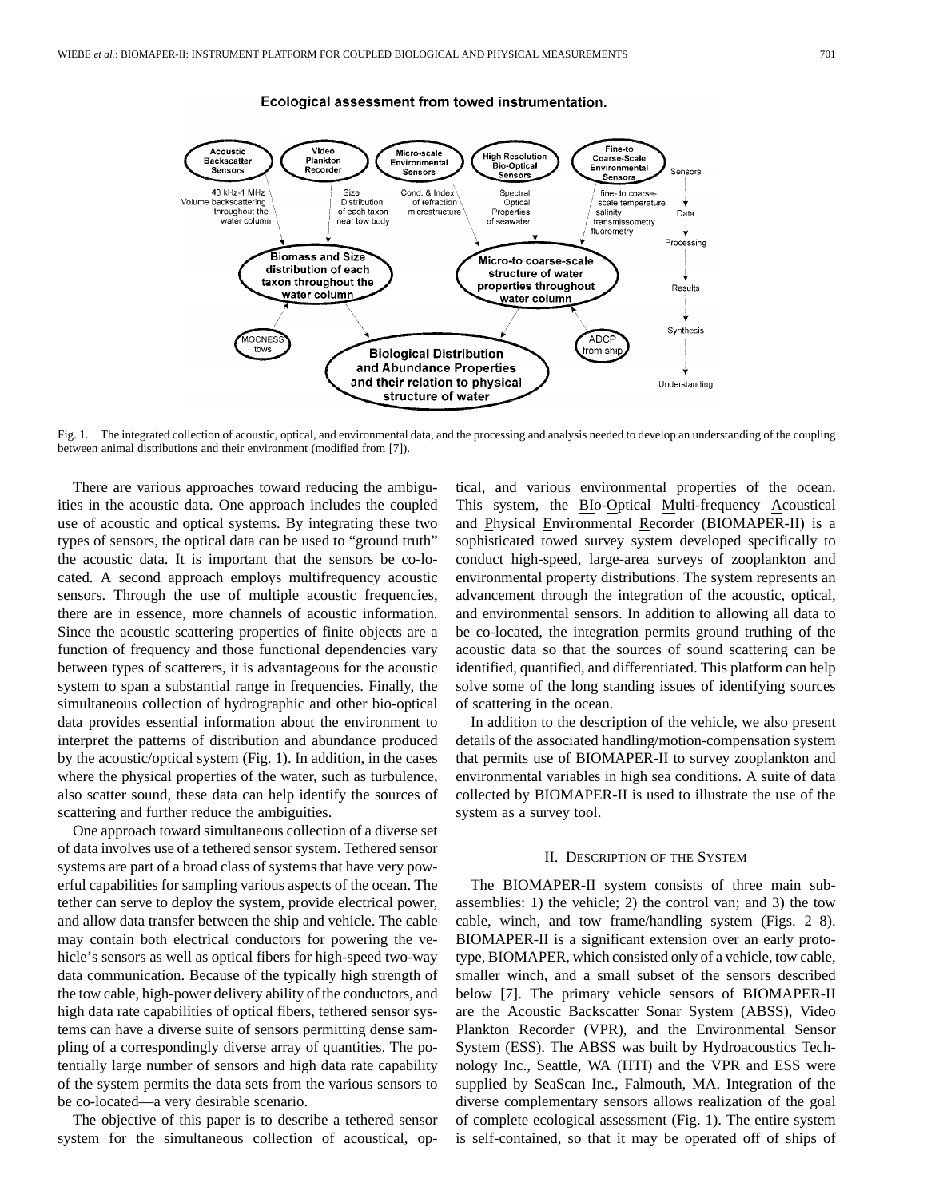

#### Ecological assessment from towed instrumentation.

Fig. 1. The integrated collection of acoustic, optical, and environmental data, and the processing and analysis needed to develop an understanding of the coupling between animal distributions and their environment (modified from [7]).

There are various approaches toward reducing the ambiguities in the acoustic data. One approach includes the coupled use of acoustic and optical systems. By integrating these two types of sensors, the optical data can be used to "ground truth" the acoustic data. It is important that the sensors be co-located. A second approach employs multifrequency acoustic sensors. Through the use of multiple acoustic frequencies, there are in essence, more channels of acoustic information. Since the acoustic scattering properties of finite objects are a function of frequency and those functional dependencies vary between types of scatterers, it is advantageous for the acoustic system to span a substantial range in frequencies. Finally, the simultaneous collection of hydrographic and other bio-optical data provides essential information about the environment to interpret the patterns of distribution and abundance produced by the acoustic/optical system (Fig. 1). In addition, in the cases where the physical properties of the water, such as turbulence, also scatter sound, these data can help identify the sources of scattering and further reduce the ambiguities.

One approach toward simultaneous collection of a diverse set of data involves use of a tethered sensor system. Tethered sensor systems are part of a broad class of systems that have very powerful capabilities for sampling various aspects of the ocean. The tether can serve to deploy the system, provide electrical power, and allow data transfer between the ship and vehicle. The cable may contain both electrical conductors for powering the vehicle's sensors as well as optical fibers for high-speed two-way data communication. Because of the typically high strength of the tow cable, high-power delivery ability of the conductors, and high data rate capabilities of optical fibers, tethered sensor systems can have a diverse suite of sensors permitting dense sampling of a correspondingly diverse array of quantities. The potentially large number of sensors and high data rate capability of the system permits the data sets from the various sensors to be co-located—a very desirable scenario.

The objective of this paper is to describe a tethered sensor system for the simultaneous collection of acoustical, optical, and various environmental properties of the ocean. This system, the **BIo-Optical Multi-frequency Acoustical** and Physical Environmental Recorder (BIOMAPER-II) is a sophisticated towed survey system developed specifically to conduct high-speed, large-area surveys of zooplankton and environmental property distributions. The system represents an advancement through the integration of the acoustic, optical, and environmental sensors. In addition to allowing all data to be co-located, the integration permits ground truthing of the acoustic data so that the sources of sound scattering can be identified, quantified, and differentiated. This platform can help solve some of the long standing issues of identifying sources of scattering in the ocean.

In addition to the description of the vehicle, we also present details of the associated handling/motion-compensation system that permits use of BIOMAPER-II to survey zooplankton and environmental variables in high sea conditions. A suite of data collected by BIOMAPER-II is used to illustrate the use of the system as a survey tool.

#### II. DESCRIPTION OF THE SYSTEM

The BIOMAPER-II system consists of three main subassemblies: 1) the vehicle; 2) the control van; and 3) the tow cable, winch, and tow frame/handling system (Figs. 2–8). BIOMAPER-II is a significant extension over an early prototype, BIOMAPER, which consisted only of a vehicle, tow cable, smaller winch, and a small subset of the sensors described below [7]. The primary vehicle sensors of BIOMAPER-II are the Acoustic Backscatter Sonar System (ABSS), Video Plankton Recorder (VPR), and the Environmental Sensor System (ESS). The ABSS was built by Hydroacoustics Technology Inc., Seattle, WA (HTI) and the VPR and ESS were supplied by SeaScan Inc., Falmouth, MA. Integration of the diverse complementary sensors allows realization of the goal of complete ecological assessment (Fig. 1). The entire system is self-contained, so that it may be operated off of ships of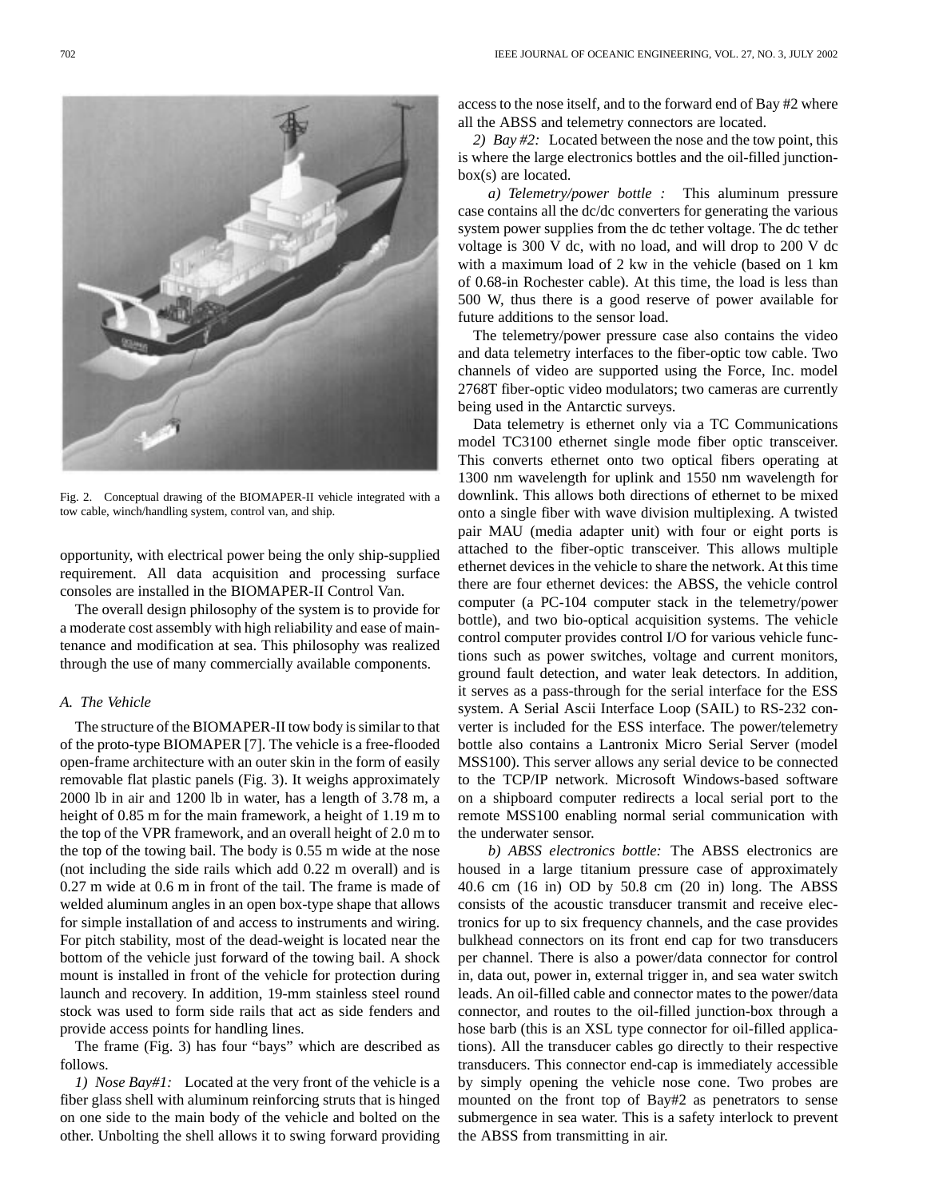

Fig. 2. Conceptual drawing of the BIOMAPER-II vehicle integrated with a tow cable, winch/handling system, control van, and ship.

opportunity, with electrical power being the only ship-supplied requirement. All data acquisition and processing surface consoles are installed in the BIOMAPER-II Control Van.

The overall design philosophy of the system is to provide for a moderate cost assembly with high reliability and ease of maintenance and modification at sea. This philosophy was realized through the use of many commercially available components.

#### *A. The Vehicle*

The structure of the BIOMAPER-II tow body is similar to that of the proto-type BIOMAPER [7]. The vehicle is a free-flooded open-frame architecture with an outer skin in the form of easily removable flat plastic panels (Fig. 3). It weighs approximately 2000 lb in air and 1200 lb in water, has a length of 3.78 m, a height of 0.85 m for the main framework, a height of 1.19 m to the top of the VPR framework, and an overall height of 2.0 m to the top of the towing bail. The body is 0.55 m wide at the nose (not including the side rails which add 0.22 m overall) and is 0.27 m wide at 0.6 m in front of the tail. The frame is made of welded aluminum angles in an open box-type shape that allows for simple installation of and access to instruments and wiring. For pitch stability, most of the dead-weight is located near the bottom of the vehicle just forward of the towing bail. A shock mount is installed in front of the vehicle for protection during launch and recovery. In addition, 19-mm stainless steel round stock was used to form side rails that act as side fenders and provide access points for handling lines.

The frame (Fig. 3) has four "bays" which are described as follows.

*1) Nose Bay#1:* Located at the very front of the vehicle is a fiber glass shell with aluminum reinforcing struts that is hinged on one side to the main body of the vehicle and bolted on the other. Unbolting the shell allows it to swing forward providing access to the nose itself, and to the forward end of Bay #2 where all the ABSS and telemetry connectors are located.

*2) Bay #2:* Located between the nose and the tow point, this is where the large electronics bottles and the oil-filled junctionbox(s) are located.

*a) Telemetry/power bottle :* This aluminum pressure case contains all the dc/dc converters for generating the various system power supplies from the dc tether voltage. The dc tether voltage is 300 V dc, with no load, and will drop to 200 V dc with a maximum load of 2 kw in the vehicle (based on 1 km of 0.68-in Rochester cable). At this time, the load is less than 500 W, thus there is a good reserve of power available for future additions to the sensor load.

The telemetry/power pressure case also contains the video and data telemetry interfaces to the fiber-optic tow cable. Two channels of video are supported using the Force, Inc. model 2768T fiber-optic video modulators; two cameras are currently being used in the Antarctic surveys.

Data telemetry is ethernet only via a TC Communications model TC3100 ethernet single mode fiber optic transceiver. This converts ethernet onto two optical fibers operating at 1300 nm wavelength for uplink and 1550 nm wavelength for downlink. This allows both directions of ethernet to be mixed onto a single fiber with wave division multiplexing. A twisted pair MAU (media adapter unit) with four or eight ports is attached to the fiber-optic transceiver. This allows multiple ethernet devices in the vehicle to share the network. At this time there are four ethernet devices: the ABSS, the vehicle control computer (a PC-104 computer stack in the telemetry/power bottle), and two bio-optical acquisition systems. The vehicle control computer provides control I/O for various vehicle functions such as power switches, voltage and current monitors, ground fault detection, and water leak detectors. In addition, it serves as a pass-through for the serial interface for the ESS system. A Serial Ascii Interface Loop (SAIL) to RS-232 converter is included for the ESS interface. The power/telemetry bottle also contains a Lantronix Micro Serial Server (model MSS100). This server allows any serial device to be connected to the TCP/IP network. Microsoft Windows-based software on a shipboard computer redirects a local serial port to the remote MSS100 enabling normal serial communication with the underwater sensor.

*b) ABSS electronics bottle:* The ABSS electronics are housed in a large titanium pressure case of approximately 40.6 cm (16 in) OD by 50.8 cm (20 in) long. The ABSS consists of the acoustic transducer transmit and receive electronics for up to six frequency channels, and the case provides bulkhead connectors on its front end cap for two transducers per channel. There is also a power/data connector for control in, data out, power in, external trigger in, and sea water switch leads. An oil-filled cable and connector mates to the power/data connector, and routes to the oil-filled junction-box through a hose barb (this is an XSL type connector for oil-filled applications). All the transducer cables go directly to their respective transducers. This connector end-cap is immediately accessible by simply opening the vehicle nose cone. Two probes are mounted on the front top of Bay#2 as penetrators to sense submergence in sea water. This is a safety interlock to prevent the ABSS from transmitting in air.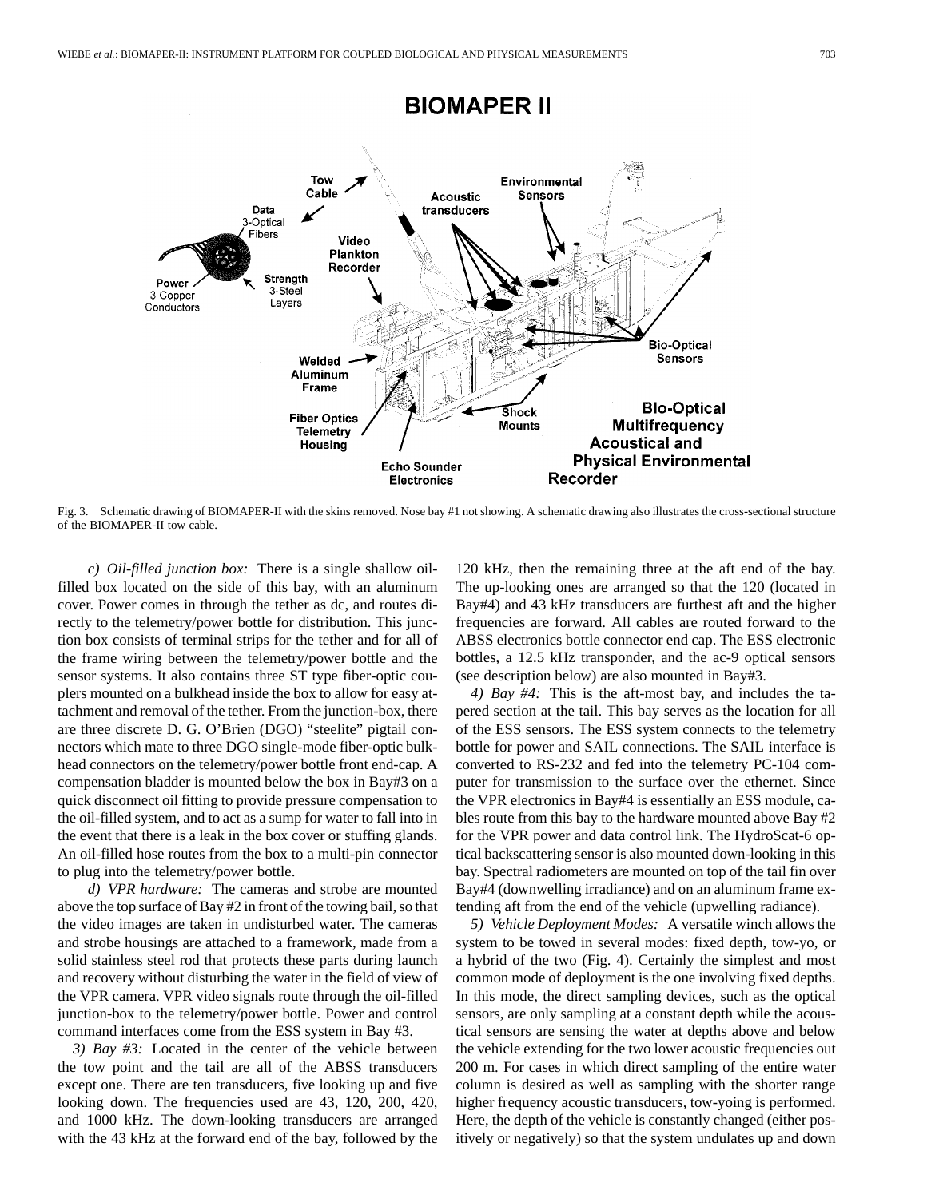

Fig. 3. Schematic drawing of BIOMAPER-II with the skins removed. Nose bay #1 not showing. A schematic drawing also illustrates the cross-sectional structure of the BIOMAPER-II tow cable.

*c) Oil-filled junction box:* There is a single shallow oilfilled box located on the side of this bay, with an aluminum cover. Power comes in through the tether as dc, and routes directly to the telemetry/power bottle for distribution. This junction box consists of terminal strips for the tether and for all of the frame wiring between the telemetry/power bottle and the sensor systems. It also contains three ST type fiber-optic couplers mounted on a bulkhead inside the box to allow for easy attachment and removal of the tether. From the junction-box, there are three discrete D. G. O'Brien (DGO) "steelite" pigtail connectors which mate to three DGO single-mode fiber-optic bulkhead connectors on the telemetry/power bottle front end-cap. A compensation bladder is mounted below the box in Bay#3 on a quick disconnect oil fitting to provide pressure compensation to the oil-filled system, and to act as a sump for water to fall into in the event that there is a leak in the box cover or stuffing glands. An oil-filled hose routes from the box to a multi-pin connector to plug into the telemetry/power bottle.

*d) VPR hardware:* The cameras and strobe are mounted above the top surface of Bay #2 in front of the towing bail, so that the video images are taken in undisturbed water. The cameras and strobe housings are attached to a framework, made from a solid stainless steel rod that protects these parts during launch and recovery without disturbing the water in the field of view of the VPR camera. VPR video signals route through the oil-filled junction-box to the telemetry/power bottle. Power and control command interfaces come from the ESS system in Bay #3.

*3) Bay #3:* Located in the center of the vehicle between the tow point and the tail are all of the ABSS transducers except one. There are ten transducers, five looking up and five looking down. The frequencies used are 43, 120, 200, 420, and 1000 kHz. The down-looking transducers are arranged with the 43 kHz at the forward end of the bay, followed by the

120 kHz, then the remaining three at the aft end of the bay. The up-looking ones are arranged so that the 120 (located in Bay#4) and 43 kHz transducers are furthest aft and the higher frequencies are forward. All cables are routed forward to the ABSS electronics bottle connector end cap. The ESS electronic bottles, a 12.5 kHz transponder, and the ac-9 optical sensors (see description below) are also mounted in Bay#3.

*4) Bay #4:* This is the aft-most bay, and includes the tapered section at the tail. This bay serves as the location for all of the ESS sensors. The ESS system connects to the telemetry bottle for power and SAIL connections. The SAIL interface is converted to RS-232 and fed into the telemetry PC-104 computer for transmission to the surface over the ethernet. Since the VPR electronics in Bay#4 is essentially an ESS module, cables route from this bay to the hardware mounted above Bay #2 for the VPR power and data control link. The HydroScat-6 optical backscattering sensor is also mounted down-looking in this bay. Spectral radiometers are mounted on top of the tail fin over Bay#4 (downwelling irradiance) and on an aluminum frame extending aft from the end of the vehicle (upwelling radiance).

*5) Vehicle Deployment Modes:* A versatile winch allows the system to be towed in several modes: fixed depth, tow-yo, or a hybrid of the two (Fig. 4). Certainly the simplest and most common mode of deployment is the one involving fixed depths. In this mode, the direct sampling devices, such as the optical sensors, are only sampling at a constant depth while the acoustical sensors are sensing the water at depths above and below the vehicle extending for the two lower acoustic frequencies out 200 m. For cases in which direct sampling of the entire water column is desired as well as sampling with the shorter range higher frequency acoustic transducers, tow-yoing is performed. Here, the depth of the vehicle is constantly changed (either positively or negatively) so that the system undulates up and down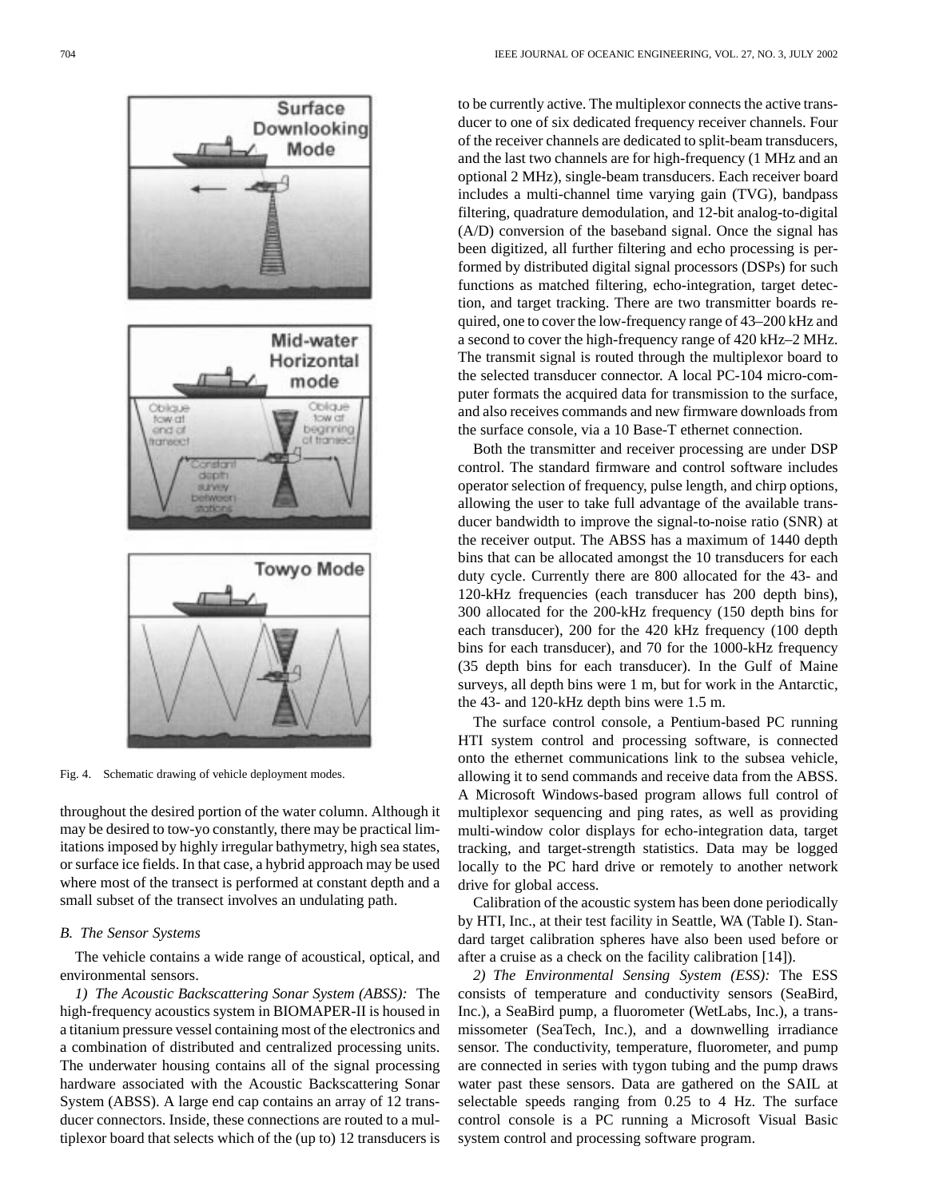

Fig. 4. Schematic drawing of vehicle deployment modes.

throughout the desired portion of the water column. Although it may be desired to tow-yo constantly, there may be practical limitations imposed by highly irregular bathymetry, high sea states, or surface ice fields. In that case, a hybrid approach may be used where most of the transect is performed at constant depth and a small subset of the transect involves an undulating path.

# *B. The Sensor Systems*

The vehicle contains a wide range of acoustical, optical, and environmental sensors.

*1) The Acoustic Backscattering Sonar System (ABSS):* The high-frequency acoustics system in BIOMAPER-II is housed in a titanium pressure vessel containing most of the electronics and a combination of distributed and centralized processing units. The underwater housing contains all of the signal processing hardware associated with the Acoustic Backscattering Sonar System (ABSS). A large end cap contains an array of 12 transducer connectors. Inside, these connections are routed to a multiplexor board that selects which of the (up to) 12 transducers is to be currently active. The multiplexor connects the active transducer to one of six dedicated frequency receiver channels. Four of the receiver channels are dedicated to split-beam transducers, and the last two channels are for high-frequency (1 MHz and an optional 2 MHz), single-beam transducers. Each receiver board includes a multi-channel time varying gain (TVG), bandpass filtering, quadrature demodulation, and 12-bit analog-to-digital (A/D) conversion of the baseband signal. Once the signal has been digitized, all further filtering and echo processing is performed by distributed digital signal processors (DSPs) for such functions as matched filtering, echo-integration, target detection, and target tracking. There are two transmitter boards required, one to cover the low-frequency range of 43–200 kHz and a second to cover the high-frequency range of 420 kHz–2 MHz. The transmit signal is routed through the multiplexor board to the selected transducer connector. A local PC-104 micro-computer formats the acquired data for transmission to the surface, and also receives commands and new firmware downloads from the surface console, via a 10 Base-T ethernet connection.

Both the transmitter and receiver processing are under DSP control. The standard firmware and control software includes operator selection of frequency, pulse length, and chirp options, allowing the user to take full advantage of the available transducer bandwidth to improve the signal-to-noise ratio (SNR) at the receiver output. The ABSS has a maximum of 1440 depth bins that can be allocated amongst the 10 transducers for each duty cycle. Currently there are 800 allocated for the 43- and 120-kHz frequencies (each transducer has 200 depth bins), 300 allocated for the 200-kHz frequency (150 depth bins for each transducer), 200 for the 420 kHz frequency (100 depth bins for each transducer), and 70 for the 1000-kHz frequency (35 depth bins for each transducer). In the Gulf of Maine surveys, all depth bins were 1 m, but for work in the Antarctic, the 43- and 120-kHz depth bins were 1.5 m.

The surface control console, a Pentium-based PC running HTI system control and processing software, is connected onto the ethernet communications link to the subsea vehicle, allowing it to send commands and receive data from the ABSS. A Microsoft Windows-based program allows full control of multiplexor sequencing and ping rates, as well as providing multi-window color displays for echo-integration data, target tracking, and target-strength statistics. Data may be logged locally to the PC hard drive or remotely to another network drive for global access.

Calibration of the acoustic system has been done periodically by HTI, Inc., at their test facility in Seattle, WA (Table I). Standard target calibration spheres have also been used before or after a cruise as a check on the facility calibration [14]).

*2) The Environmental Sensing System (ESS):* The ESS consists of temperature and conductivity sensors (SeaBird, Inc.), a SeaBird pump, a fluorometer (WetLabs, Inc.), a transmissometer (SeaTech, Inc.), and a downwelling irradiance sensor. The conductivity, temperature, fluorometer, and pump are connected in series with tygon tubing and the pump draws water past these sensors. Data are gathered on the SAIL at selectable speeds ranging from 0.25 to 4 Hz. The surface control console is a PC running a Microsoft Visual Basic system control and processing software program.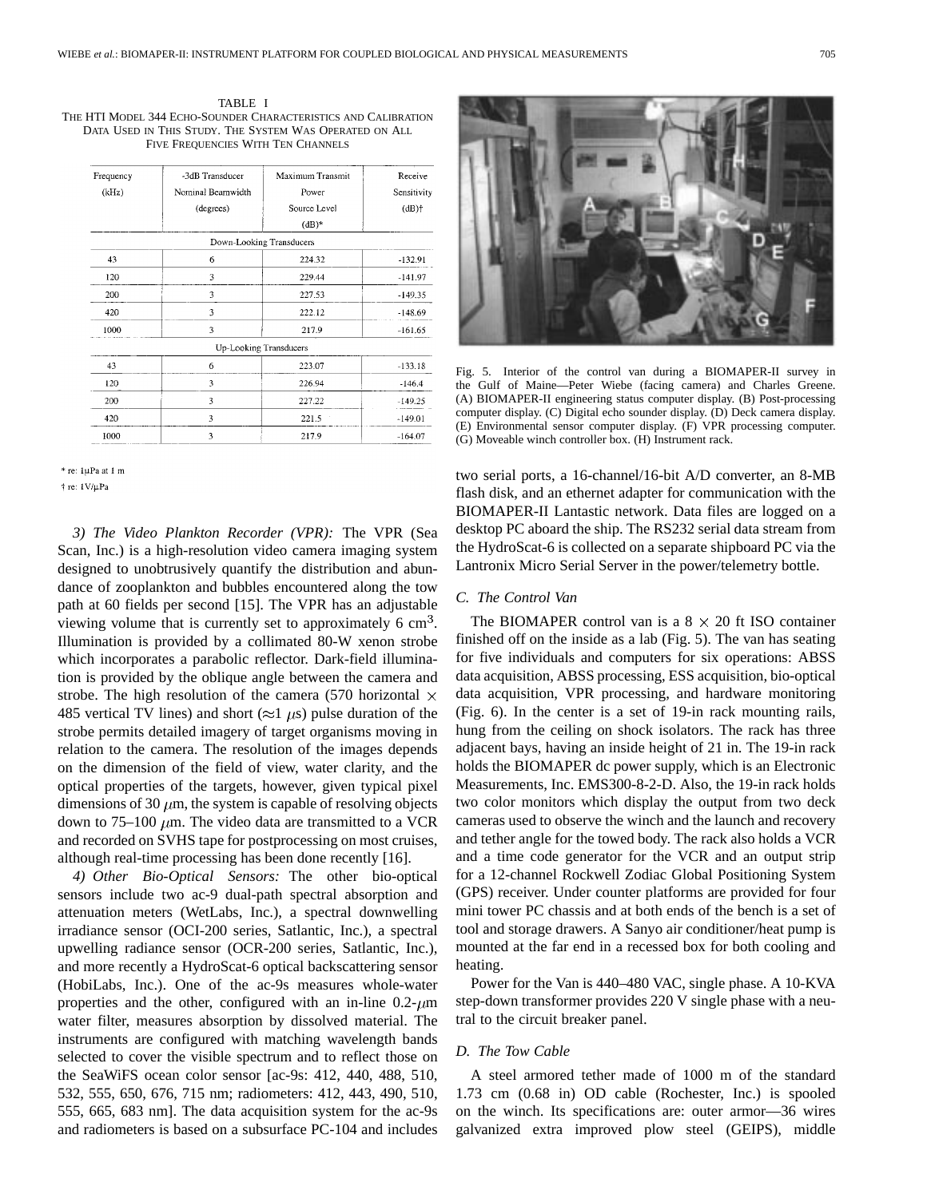TABLE I THE HTI MODEL 344 ECHO-SOUNDER CHARACTERISTICS AND CALIBRATION DATA USED IN THIS STUDY. THE SYSTEM WAS OPERATED ON ALL

FIVE FREQUENCIES WITH TEN CHANNELS

| Frequency | -3dB Transducer   | Maximum Transmit         | Receive                 |  |
|-----------|-------------------|--------------------------|-------------------------|--|
| (kHz)     | Nominal Beamwidth | Power                    | Sensitivity<br>$(dB)$ † |  |
|           | (degrees)         | Source Level             |                         |  |
|           |                   | $(dB)*$                  |                         |  |
|           |                   | Down-Looking Transducers |                         |  |
| 43        | 6                 | 224.32                   | $-132.91$               |  |
| 120       | 3                 | 229.44                   | $-141.97$               |  |
| 200       | 3                 | 227.53                   | $-149.35$               |  |
| 420       | 3                 | 222.12                   | $-148.69$               |  |
| 1000      | 3                 | 217.9                    | $-161.65$               |  |
|           |                   | Up-Looking Transducers   |                         |  |
| 43        | 6                 | 223.07                   | $-133.18$               |  |
| 3<br>120  |                   | 226.94                   | $-146.4$                |  |
| 200       | 3                 | 227.22<br>$-149.25$      |                         |  |
| 420       | 3                 | 221.5                    | $-149.01$               |  |
| 1000      | 3                 | 217.9                    | $-164.07$               |  |

\* re: 1µPa at 1 m † re: 1V/uPa

*3) The Video Plankton Recorder (VPR):* The VPR (Sea Scan, Inc.) is a high-resolution video camera imaging system designed to unobtrusively quantify the distribution and abundance of zooplankton and bubbles encountered along the tow path at 60 fields per second [15]. The VPR has an adjustable viewing volume that is currently set to approximately  $6 \text{ cm}^3$ . Illumination is provided by a collimated 80-W xenon strobe which incorporates a parabolic reflector. Dark-field illumination is provided by the oblique angle between the camera and strobe. The high resolution of the camera (570 horizontal  $\times$ 485 vertical TV lines) and short ( $\approx$ 1  $\mu$ s) pulse duration of the strobe permits detailed imagery of target organisms moving in relation to the camera. The resolution of the images depends on the dimension of the field of view, water clarity, and the optical properties of the targets, however, given typical pixel dimensions of 30  $\mu$ m, the system is capable of resolving objects down to 75–100  $\mu$ m. The video data are transmitted to a VCR and recorded on SVHS tape for postprocessing on most cruises, although real-time processing has been done recently [16].

*4) Other Bio-Optical Sensors:* The other bio-optical sensors include two ac-9 dual-path spectral absorption and attenuation meters (WetLabs, Inc.), a spectral downwelling irradiance sensor (OCI-200 series, Satlantic, Inc.), a spectral upwelling radiance sensor (OCR-200 series, Satlantic, Inc.), and more recently a HydroScat-6 optical backscattering sensor (HobiLabs, Inc.). One of the ac-9s measures whole-water properties and the other, configured with an in-line  $0.2$ - $\mu$ m water filter, measures absorption by dissolved material. The instruments are configured with matching wavelength bands selected to cover the visible spectrum and to reflect those on the SeaWiFS ocean color sensor [ac-9s: 412, 440, 488, 510, 532, 555, 650, 676, 715 nm; radiometers: 412, 443, 490, 510, 555, 665, 683 nm]. The data acquisition system for the ac-9s and radiometers is based on a subsurface PC-104 and includes



Fig. 5. Interior of the control van during a BIOMAPER-II survey in the Gulf of Maine—Peter Wiebe (facing camera) and Charles Greene. (A) BIOMAPER-II engineering status computer display. (B) Post-processing computer display. (C) Digital echo sounder display. (D) Deck camera display. (E) Environmental sensor computer display. (F) VPR processing computer. (G) Moveable winch controller box. (H) Instrument rack.

two serial ports, a 16-channel/16-bit A/D converter, an 8-MB flash disk, and an ethernet adapter for communication with the BIOMAPER-II Lantastic network. Data files are logged on a desktop PC aboard the ship. The RS232 serial data stream from the HydroScat-6 is collected on a separate shipboard PC via the Lantronix Micro Serial Server in the power/telemetry bottle.

# *C. The Control Van*

The BIOMAPER control van is a  $8 \times 20$  ft ISO container finished off on the inside as a lab (Fig. 5). The van has seating for five individuals and computers for six operations: ABSS data acquisition, ABSS processing, ESS acquisition, bio-optical data acquisition, VPR processing, and hardware monitoring (Fig. 6). In the center is a set of 19-in rack mounting rails, hung from the ceiling on shock isolators. The rack has three adjacent bays, having an inside height of 21 in. The 19-in rack holds the BIOMAPER dc power supply, which is an Electronic Measurements, Inc. EMS300-8-2-D. Also, the 19-in rack holds two color monitors which display the output from two deck cameras used to observe the winch and the launch and recovery and tether angle for the towed body. The rack also holds a VCR and a time code generator for the VCR and an output strip for a 12-channel Rockwell Zodiac Global Positioning System (GPS) receiver. Under counter platforms are provided for four mini tower PC chassis and at both ends of the bench is a set of tool and storage drawers. A Sanyo air conditioner/heat pump is mounted at the far end in a recessed box for both cooling and heating.

Power for the Van is 440–480 VAC, single phase. A 10-KVA step-down transformer provides 220 V single phase with a neutral to the circuit breaker panel.

# *D. The Tow Cable*

A steel armored tether made of 1000 m of the standard 1.73 cm (0.68 in) OD cable (Rochester, Inc.) is spooled on the winch. Its specifications are: outer armor—36 wires galvanized extra improved plow steel (GEIPS), middle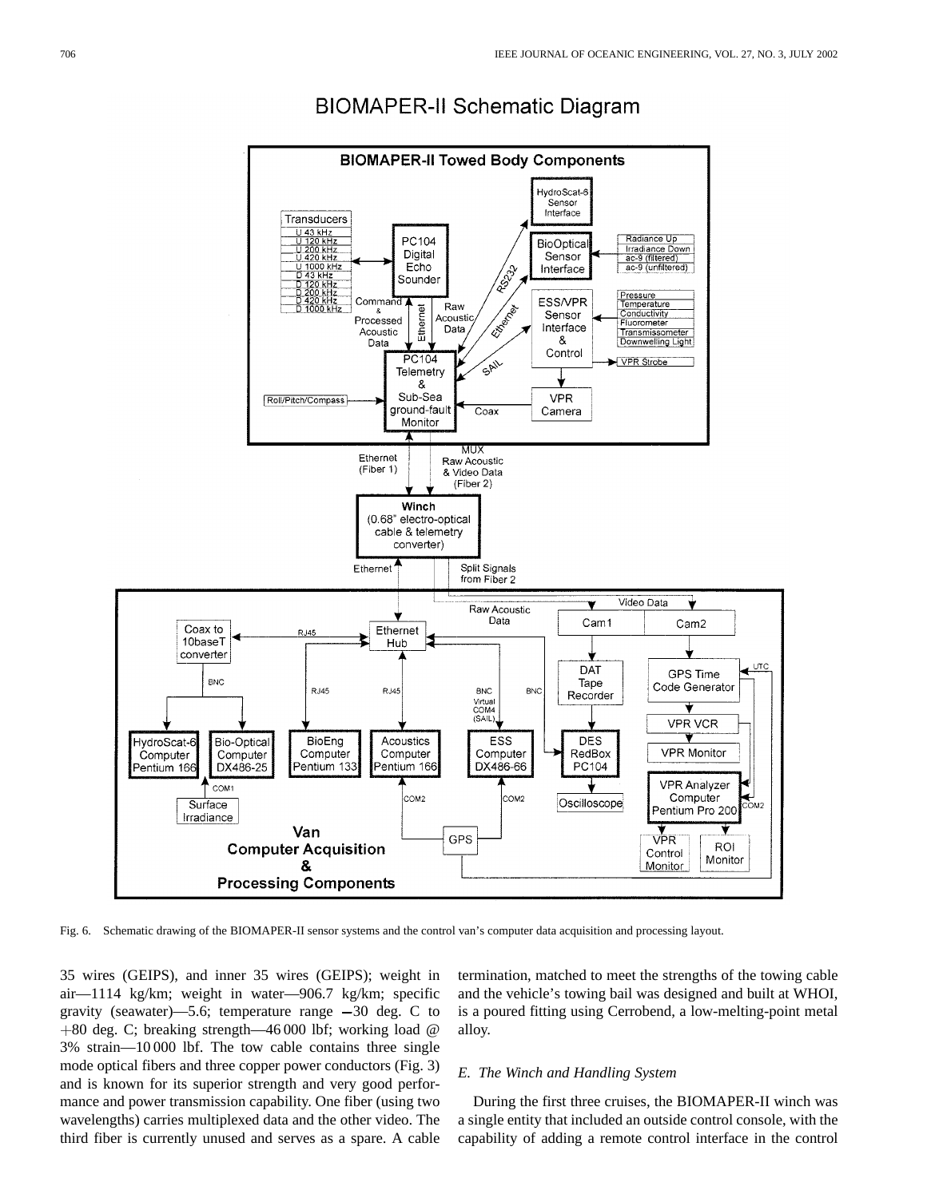

BIOMAPER-II Schematic Diagram

Fig. 6. Schematic drawing of the BIOMAPER-II sensor systems and the control van's computer data acquisition and processing layout.

35 wires (GEIPS), and inner 35 wires (GEIPS); weight in air—1114 kg/km; weight in water—906.7 kg/km; specific gravity (seawater)—5.6; temperature range  $-30$  deg. C to +80 deg. C; breaking strength—46 000 lbf; working load @ 3% strain—10 000 lbf. The tow cable contains three single mode optical fibers and three copper power conductors (Fig. 3) and is known for its superior strength and very good performance and power transmission capability. One fiber (using two wavelengths) carries multiplexed data and the other video. The third fiber is currently unused and serves as a spare. A cable termination, matched to meet the strengths of the towing cable and the vehicle's towing bail was designed and built at WHOI, is a poured fitting using Cerrobend, a low-melting-point metal alloy.

# *E. The Winch and Handling System*

During the first three cruises, the BIOMAPER-II winch was a single entity that included an outside control console, with the capability of adding a remote control interface in the control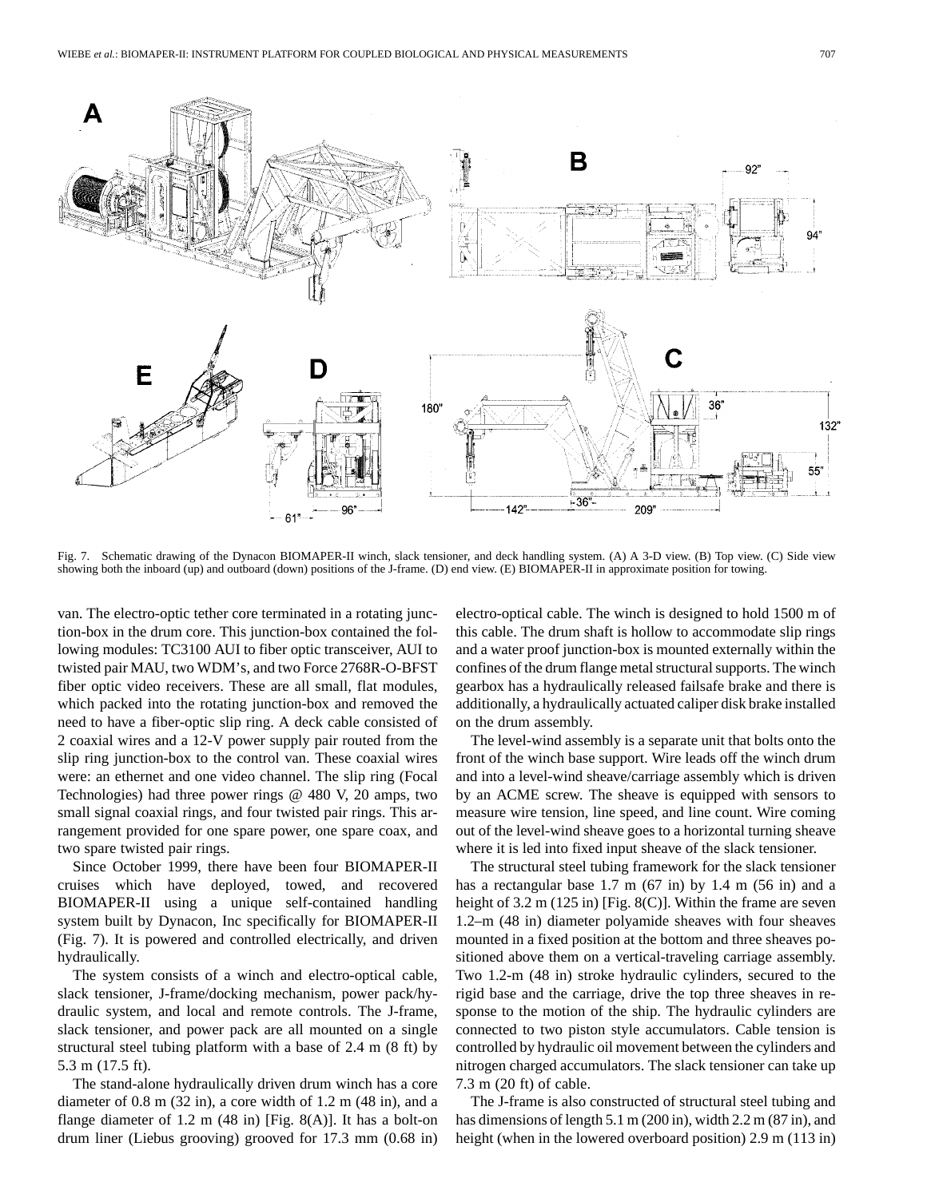

Fig. 7. Schematic drawing of the Dynacon BIOMAPER-II winch, slack tensioner, and deck handling system. (A) A 3-D view. (B) Top view. (C) Side view showing both the inboard (up) and outboard (down) positions of the J-frame. (D) end view. (E) BIOMAPER-II in approximate position for towing.

van. The electro-optic tether core terminated in a rotating junction-box in the drum core. This junction-box contained the following modules: TC3100 AUI to fiber optic transceiver, AUI to twisted pair MAU, two WDM's, and two Force 2768R-O-BFST fiber optic video receivers. These are all small, flat modules, which packed into the rotating junction-box and removed the need to have a fiber-optic slip ring. A deck cable consisted of 2 coaxial wires and a 12-V power supply pair routed from the slip ring junction-box to the control van. These coaxial wires were: an ethernet and one video channel. The slip ring (Focal Technologies) had three power rings @ 480 V, 20 amps, two small signal coaxial rings, and four twisted pair rings. This arrangement provided for one spare power, one spare coax, and two spare twisted pair rings.

Since October 1999, there have been four BIOMAPER-II cruises which have deployed, towed, and recovered BIOMAPER-II using a unique self-contained handling system built by Dynacon, Inc specifically for BIOMAPER-II (Fig. 7). It is powered and controlled electrically, and driven hydraulically.

The system consists of a winch and electro-optical cable, slack tensioner, J-frame/docking mechanism, power pack/hydraulic system, and local and remote controls. The J-frame, slack tensioner, and power pack are all mounted on a single structural steel tubing platform with a base of 2.4 m (8 ft) by 5.3 m (17.5 ft).

The stand-alone hydraulically driven drum winch has a core diameter of 0.8 m (32 in), a core width of 1.2 m (48 in), and a flange diameter of 1.2 m  $(48 \text{ in})$  [Fig. 8(A)]. It has a bolt-on drum liner (Liebus grooving) grooved for 17.3 mm (0.68 in) electro-optical cable. The winch is designed to hold 1500 m of this cable. The drum shaft is hollow to accommodate slip rings and a water proof junction-box is mounted externally within the confines of the drum flange metal structural supports. The winch gearbox has a hydraulically released failsafe brake and there is additionally, a hydraulically actuated caliper disk brake installed on the drum assembly.

The level-wind assembly is a separate unit that bolts onto the front of the winch base support. Wire leads off the winch drum and into a level-wind sheave/carriage assembly which is driven by an ACME screw. The sheave is equipped with sensors to measure wire tension, line speed, and line count. Wire coming out of the level-wind sheave goes to a horizontal turning sheave where it is led into fixed input sheave of the slack tensioner.

The structural steel tubing framework for the slack tensioner has a rectangular base 1.7 m (67 in) by 1.4 m (56 in) and a height of 3.2 m (125 in) [Fig. 8(C)]. Within the frame are seven 1.2–m (48 in) diameter polyamide sheaves with four sheaves mounted in a fixed position at the bottom and three sheaves positioned above them on a vertical-traveling carriage assembly. Two 1.2-m (48 in) stroke hydraulic cylinders, secured to the rigid base and the carriage, drive the top three sheaves in response to the motion of the ship. The hydraulic cylinders are connected to two piston style accumulators. Cable tension is controlled by hydraulic oil movement between the cylinders and nitrogen charged accumulators. The slack tensioner can take up 7.3 m (20 ft) of cable.

The J-frame is also constructed of structural steel tubing and has dimensions of length 5.1 m (200 in), width 2.2 m (87 in), and height (when in the lowered overboard position) 2.9 m (113 in)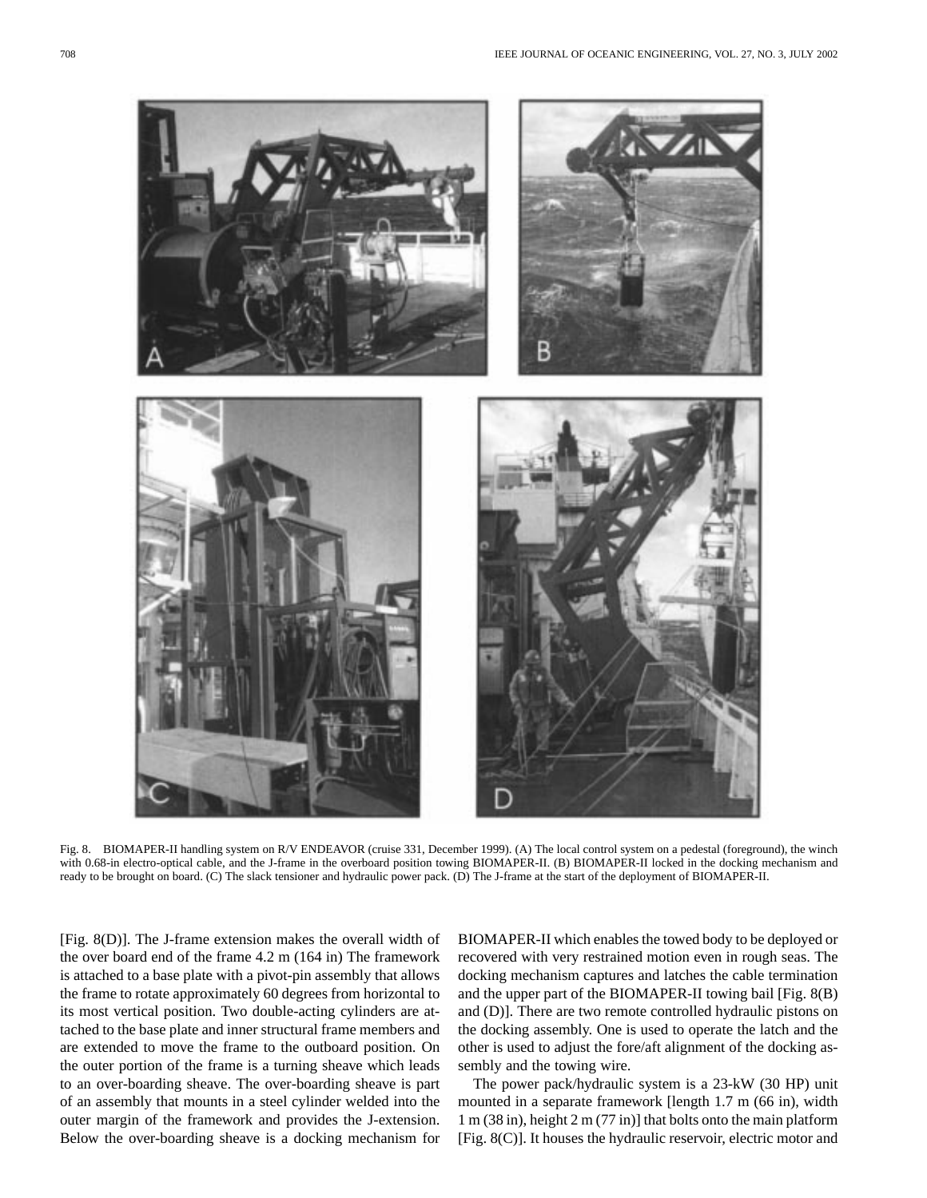

Fig. 8. BIOMAPER-II handling system on R/V ENDEAVOR (cruise 331, December 1999). (A) The local control system on a pedestal (foreground), the winch with 0.68-in electro-optical cable, and the J-frame in the overboard position towing BIOMAPER-II. (B) BIOMAPER-II locked in the docking mechanism and ready to be brought on board. (C) The slack tensioner and hydraulic power pack. (D) The J-frame at the start of the deployment of BIOMAPER-II.

[Fig. 8(D)]. The J-frame extension makes the overall width of the over board end of the frame 4.2 m (164 in) The framework is attached to a base plate with a pivot-pin assembly that allows the frame to rotate approximately 60 degrees from horizontal to its most vertical position. Two double-acting cylinders are attached to the base plate and inner structural frame members and are extended to move the frame to the outboard position. On the outer portion of the frame is a turning sheave which leads to an over-boarding sheave. The over-boarding sheave is part of an assembly that mounts in a steel cylinder welded into the outer margin of the framework and provides the J-extension. Below the over-boarding sheave is a docking mechanism for

BIOMAPER-II which enables the towed body to be deployed or recovered with very restrained motion even in rough seas. The docking mechanism captures and latches the cable termination and the upper part of the BIOMAPER-II towing bail [Fig. 8(B) and (D)]. There are two remote controlled hydraulic pistons on the docking assembly. One is used to operate the latch and the other is used to adjust the fore/aft alignment of the docking assembly and the towing wire.

The power pack/hydraulic system is a 23-kW (30 HP) unit mounted in a separate framework [length 1.7 m (66 in), width 1 m (38 in), height 2 m (77 in)] that bolts onto the main platform [Fig. 8(C)]. It houses the hydraulic reservoir, electric motor and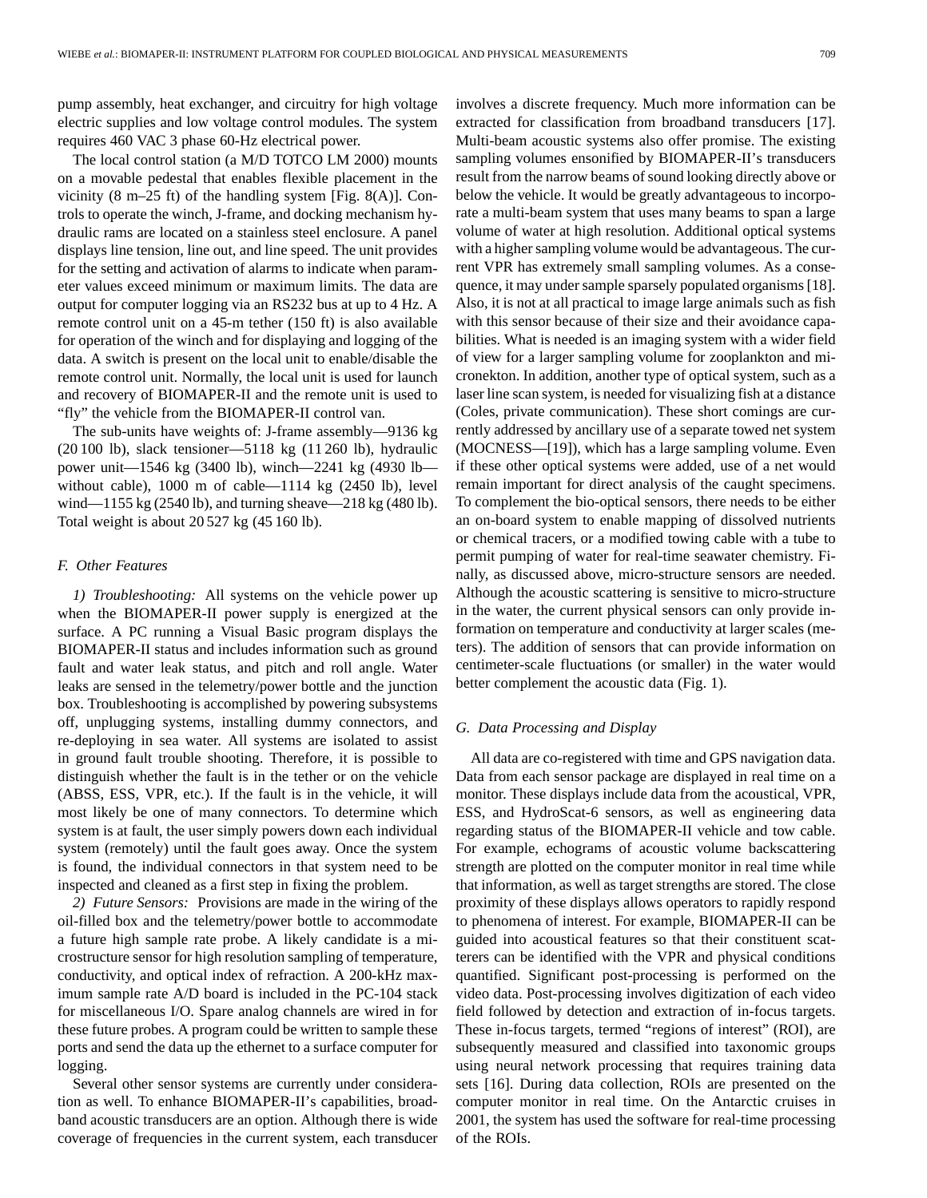pump assembly, heat exchanger, and circuitry for high voltage electric supplies and low voltage control modules. The system requires 460 VAC 3 phase 60-Hz electrical power.

The local control station (a M/D TOTCO LM 2000) mounts on a movable pedestal that enables flexible placement in the vicinity  $(8 \text{ m}-25 \text{ ft})$  of the handling system [Fig. 8(A)]. Controls to operate the winch, J-frame, and docking mechanism hydraulic rams are located on a stainless steel enclosure. A panel displays line tension, line out, and line speed. The unit provides for the setting and activation of alarms to indicate when parameter values exceed minimum or maximum limits. The data are output for computer logging via an RS232 bus at up to 4 Hz. A remote control unit on a 45-m tether (150 ft) is also available for operation of the winch and for displaying and logging of the data. A switch is present on the local unit to enable/disable the remote control unit. Normally, the local unit is used for launch and recovery of BIOMAPER-II and the remote unit is used to "fly" the vehicle from the BIOMAPER-II control van.

The sub-units have weights of: J-frame assembly—9136 kg (20 100 lb), slack tensioner—5118 kg (11 260 lb), hydraulic power unit—1546 kg (3400 lb), winch—2241 kg (4930 lb without cable), 1000 m of cable—1114 kg (2450 lb), level wind—1155 kg (2540 lb), and turning sheave—218 kg (480 lb). Total weight is about 20 527 kg (45 160 lb).

#### *F. Other Features*

*1) Troubleshooting:* All systems on the vehicle power up when the BIOMAPER-II power supply is energized at the surface. A PC running a Visual Basic program displays the BIOMAPER-II status and includes information such as ground fault and water leak status, and pitch and roll angle. Water leaks are sensed in the telemetry/power bottle and the junction box. Troubleshooting is accomplished by powering subsystems off, unplugging systems, installing dummy connectors, and re-deploying in sea water. All systems are isolated to assist in ground fault trouble shooting. Therefore, it is possible to distinguish whether the fault is in the tether or on the vehicle (ABSS, ESS, VPR, etc.). If the fault is in the vehicle, it will most likely be one of many connectors. To determine which system is at fault, the user simply powers down each individual system (remotely) until the fault goes away. Once the system is found, the individual connectors in that system need to be inspected and cleaned as a first step in fixing the problem.

*2) Future Sensors:* Provisions are made in the wiring of the oil-filled box and the telemetry/power bottle to accommodate a future high sample rate probe. A likely candidate is a microstructure sensor for high resolution sampling of temperature, conductivity, and optical index of refraction. A 200-kHz maximum sample rate A/D board is included in the PC-104 stack for miscellaneous I/O. Spare analog channels are wired in for these future probes. A program could be written to sample these ports and send the data up the ethernet to a surface computer for logging.

Several other sensor systems are currently under consideration as well. To enhance BIOMAPER-II's capabilities, broadband acoustic transducers are an option. Although there is wide coverage of frequencies in the current system, each transducer involves a discrete frequency. Much more information can be extracted for classification from broadband transducers [17]. Multi-beam acoustic systems also offer promise. The existing sampling volumes ensonified by BIOMAPER-II's transducers result from the narrow beams of sound looking directly above or below the vehicle. It would be greatly advantageous to incorporate a multi-beam system that uses many beams to span a large volume of water at high resolution. Additional optical systems with a higher sampling volume would be advantageous. The current VPR has extremely small sampling volumes. As a consequence, it may under sample sparsely populated organisms [18]. Also, it is not at all practical to image large animals such as fish with this sensor because of their size and their avoidance capabilities. What is needed is an imaging system with a wider field of view for a larger sampling volume for zooplankton and micronekton. In addition, another type of optical system, such as a laser line scan system, is needed for visualizing fish at a distance (Coles, private communication). These short comings are currently addressed by ancillary use of a separate towed net system (MOCNESS—[19]), which has a large sampling volume. Even if these other optical systems were added, use of a net would remain important for direct analysis of the caught specimens. To complement the bio-optical sensors, there needs to be either an on-board system to enable mapping of dissolved nutrients or chemical tracers, or a modified towing cable with a tube to permit pumping of water for real-time seawater chemistry. Finally, as discussed above, micro-structure sensors are needed. Although the acoustic scattering is sensitive to micro-structure in the water, the current physical sensors can only provide information on temperature and conductivity at larger scales (meters). The addition of sensors that can provide information on centimeter-scale fluctuations (or smaller) in the water would better complement the acoustic data (Fig. 1).

# *G. Data Processing and Display*

All data are co-registered with time and GPS navigation data. Data from each sensor package are displayed in real time on a monitor. These displays include data from the acoustical, VPR, ESS, and HydroScat-6 sensors, as well as engineering data regarding status of the BIOMAPER-II vehicle and tow cable. For example, echograms of acoustic volume backscattering strength are plotted on the computer monitor in real time while that information, as well as target strengths are stored. The close proximity of these displays allows operators to rapidly respond to phenomena of interest. For example, BIOMAPER-II can be guided into acoustical features so that their constituent scatterers can be identified with the VPR and physical conditions quantified. Significant post-processing is performed on the video data. Post-processing involves digitization of each video field followed by detection and extraction of in-focus targets. These in-focus targets, termed "regions of interest" (ROI), are subsequently measured and classified into taxonomic groups using neural network processing that requires training data sets [16]. During data collection, ROIs are presented on the computer monitor in real time. On the Antarctic cruises in 2001, the system has used the software for real-time processing of the ROIs.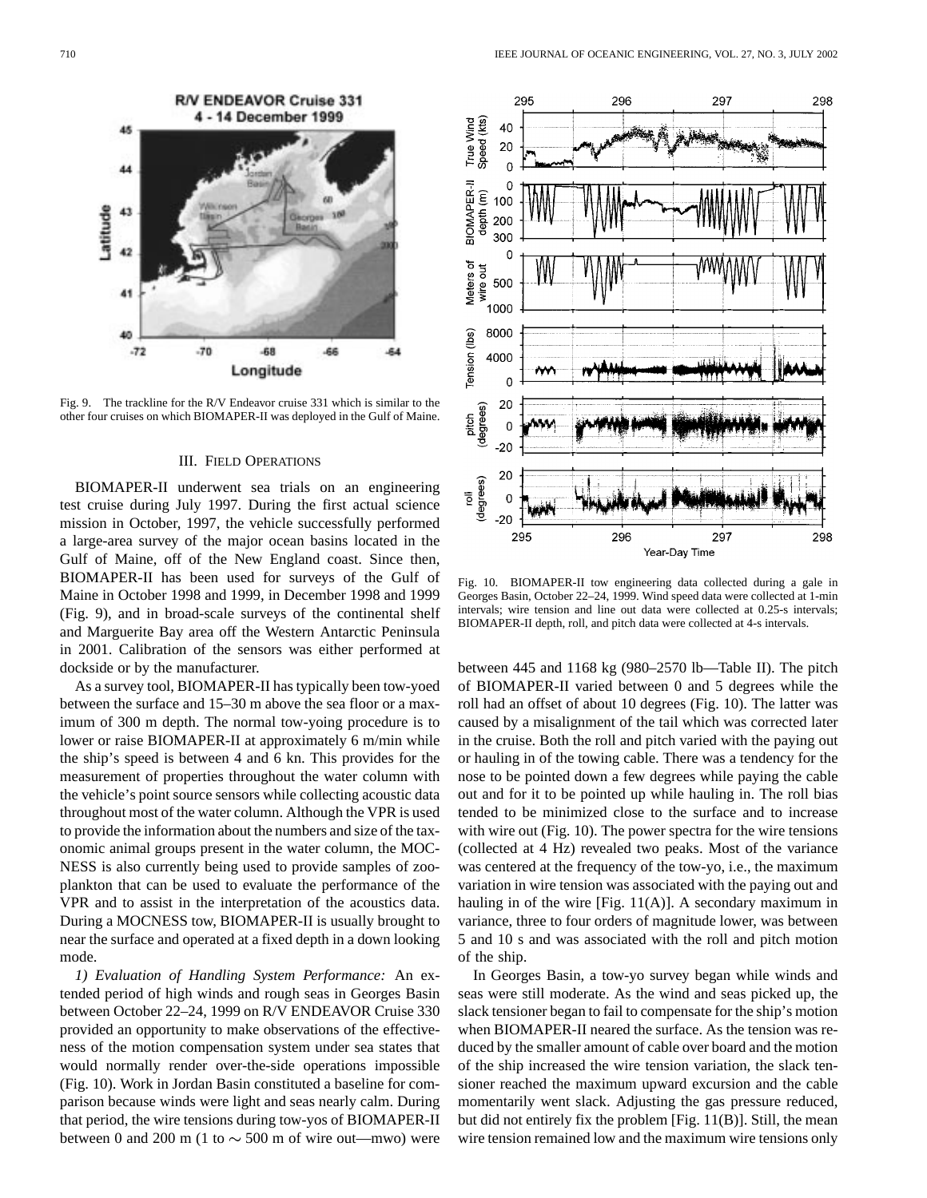

Fig. 9. The trackline for the R/V Endeavor cruise 331 which is similar to the other four cruises on which BIOMAPER-II was deployed in the Gulf of Maine.

#### III. FIELD OPERATIONS

BIOMAPER-II underwent sea trials on an engineering test cruise during July 1997. During the first actual science mission in October, 1997, the vehicle successfully performed a large-area survey of the major ocean basins located in the Gulf of Maine, off of the New England coast. Since then, BIOMAPER-II has been used for surveys of the Gulf of Maine in October 1998 and 1999, in December 1998 and 1999 (Fig. 9), and in broad-scale surveys of the continental shelf and Marguerite Bay area off the Western Antarctic Peninsula in 2001. Calibration of the sensors was either performed at dockside or by the manufacturer.

As a survey tool, BIOMAPER-II has typically been tow-yoed between the surface and 15–30 m above the sea floor or a maximum of 300 m depth. The normal tow-yoing procedure is to lower or raise BIOMAPER-II at approximately 6 m/min while the ship's speed is between 4 and 6 kn. This provides for the measurement of properties throughout the water column with the vehicle's point source sensors while collecting acoustic data throughout most of the water column. Although the VPR is used to provide the information about the numbers and size of the taxonomic animal groups present in the water column, the MOC-NESS is also currently being used to provide samples of zooplankton that can be used to evaluate the performance of the VPR and to assist in the interpretation of the acoustics data. During a MOCNESS tow, BIOMAPER-II is usually brought to near the surface and operated at a fixed depth in a down looking mode.

*1) Evaluation of Handling System Performance:* An extended period of high winds and rough seas in Georges Basin between October 22–24, 1999 on R/V ENDEAVOR Cruise 330 provided an opportunity to make observations of the effectiveness of the motion compensation system under sea states that would normally render over-the-side operations impossible (Fig. 10). Work in Jordan Basin constituted a baseline for comparison because winds were light and seas nearly calm. During that period, the wire tensions during tow-yos of BIOMAPER-II between 0 and 200 m (1 to  $\sim$  500 m of wire out—mwo) were



Fig. 10. BIOMAPER-II tow engineering data collected during a gale in Georges Basin, October 22–24, 1999. Wind speed data were collected at 1-min intervals; wire tension and line out data were collected at 0.25-s intervals; BIOMAPER-II depth, roll, and pitch data were collected at 4-s intervals.

between 445 and 1168 kg (980–2570 lb—Table II). The pitch of BIOMAPER-II varied between 0 and 5 degrees while the roll had an offset of about 10 degrees (Fig. 10). The latter was caused by a misalignment of the tail which was corrected later in the cruise. Both the roll and pitch varied with the paying out or hauling in of the towing cable. There was a tendency for the nose to be pointed down a few degrees while paying the cable out and for it to be pointed up while hauling in. The roll bias tended to be minimized close to the surface and to increase with wire out (Fig. 10). The power spectra for the wire tensions (collected at 4 Hz) revealed two peaks. Most of the variance was centered at the frequency of the tow-yo, i.e., the maximum variation in wire tension was associated with the paying out and hauling in of the wire  $[Fig. 11(A)]$ . A secondary maximum in variance, three to four orders of magnitude lower, was between 5 and 10 s and was associated with the roll and pitch motion of the ship.

In Georges Basin, a tow-yo survey began while winds and seas were still moderate. As the wind and seas picked up, the slack tensioner began to fail to compensate for the ship's motion when BIOMAPER-II neared the surface. As the tension was reduced by the smaller amount of cable over board and the motion of the ship increased the wire tension variation, the slack tensioner reached the maximum upward excursion and the cable momentarily went slack. Adjusting the gas pressure reduced, but did not entirely fix the problem [Fig. 11(B)]. Still, the mean wire tension remained low and the maximum wire tensions only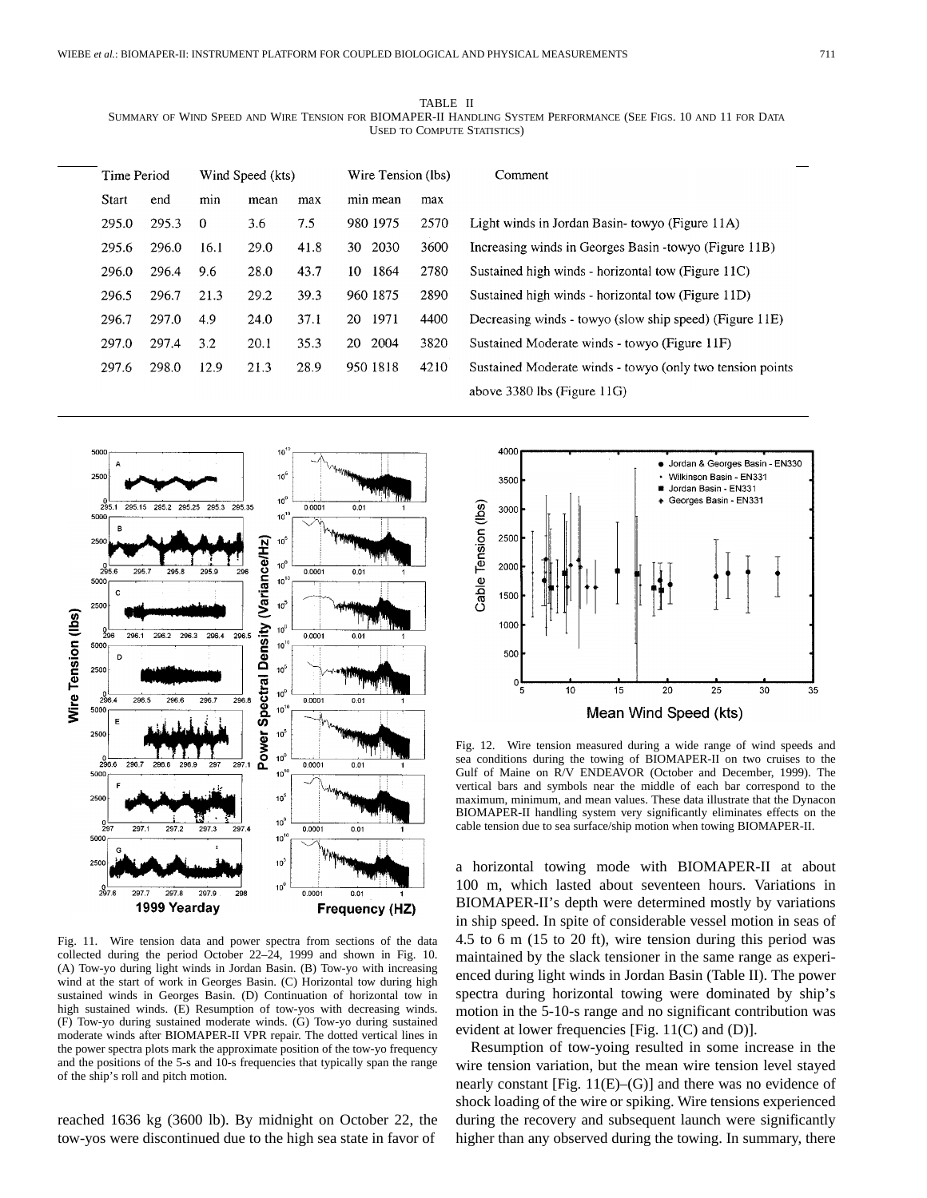TABLE II SUMMARY OF WIND SPEED AND WIRE TENSION FOR BIOMAPER-II HANDLING SYSTEM PERFORMANCE (SEE FIGS. 10 AND 11 FOR DATA USED TO COMPUTE STATISTICS)

Comment

Light winds in Jordan Basin-towyo (Figure 11A) Increasing winds in Georges Basin -towyo (Figure 11B) Sustained high winds - horizontal tow (Figure 11C) Sustained high winds - horizontal tow (Figure 11D) Decreasing winds - towyo (slow ship speed) (Figure 11E)

Sustained Moderate winds - towyo (Figure 11F)

above 3380 lbs (Figure 11G)

Sustained Moderate winds - towyo (only two tension points

| Time Period |       | Wind Speed (kts) |      | Wire Tension (lbs) |              |      |
|-------------|-------|------------------|------|--------------------|--------------|------|
| Start       | end   | min              | mean | max                | min mean     | max  |
| 295.0       | 295.3 | 0                | 3.6  | 7.5                | 980 1975     | 2570 |
| 295.6       | 296.0 | 16.1             | 29.0 | 41.8               | 30 2030      | 3600 |
| 296.0       | 296.4 | 9.6              | 28.0 | 43.7               | -1864<br>10. | 2780 |
| 296.5       | 296.7 | 21.3             | 29.2 | 39.3               | 960 1875     | 2890 |
| 296.7       | 297.0 | 4.9              | 24.0 | 37.1               | 1971<br>20   | 4400 |
| 297.0       | 297.4 | 3.2              | 20.1 | 35.3               | 20 2004      | 3820 |
| 297.6       | 298.0 | 12.9             | 21.3 | 28.9               | 950 1818     | 4210 |
|             |       |                  |      |                    |              |      |

 $10<sup>7</sup>$ 5000  $10^{\frac{1}{3}}$ 2500  $10<sup>0</sup>$  $^{0}_{295.1}$  $295.2$ 295.25  $295.3$ 295.35  $0.000$  $\overline{0.01}$  $10<sup>7</sup>$ 5000 в 250  $10^1$ (Variance/Hz)  $10<sup>6</sup>$  $295.6$  $295.$  $295.8$  $0.0001$  $0.01$ 5000  $10<sup>1</sup>$  $\mathbf c$ 2500  $10^6$ Wire Tension (lbs) Density  $10^{\circ}$  $0.0001$ 296. 296.2 296.3 296.4 296.5  $0.01$ 5000  $10<sup>1</sup>$ D 2500  $10<sup>4</sup>$ Spectral  $10<sup>0</sup>$ 296.4 296.7 296.8 0.0001  $0.01$ 296  $10<sup>1</sup>$ Power  $10^5$ 2500  $10^0$  $2966$ 296.7 0.0001  $0.01$ 297 10<sup>1</sup> 500 250  $10^5$  $10^0$  $^{0}_{297}$ 297.1 0.0001  $0.01$ 297.2 297.3 10<sup>1</sup>  $10^5$  $10<sup>6</sup>$  $297.6$ 297. 297.8 297.9  $0.0001$  $0.01$ 1999 Yearday **Frequency (HZ)** 

Fig. 11. Wire tension data and power spectra from sections of the data collected during the period October 22–24, 1999 and shown in Fig. 10. (A) Tow-yo during light winds in Jordan Basin. (B) Tow-yo with increasing wind at the start of work in Georges Basin. (C) Horizontal tow during high sustained winds in Georges Basin. (D) Continuation of horizontal tow in high sustained winds. (E) Resumption of tow-yos with decreasing winds. (F) Tow-yo during sustained moderate winds. (G) Tow-yo during sustained moderate winds after BIOMAPER-II VPR repair. The dotted vertical lines in the power spectra plots mark the approximate position of the tow-yo frequency and the positions of the 5-s and 10-s frequencies that typically span the range of the ship's roll and pitch motion.

reached 1636 kg (3600 lb). By midnight on October 22, the tow-yos were discontinued due to the high sea state in favor of



Fig. 12. Wire tension measured during a wide range of wind speeds and sea conditions during the towing of BIOMAPER-II on two cruises to the Gulf of Maine on R/V ENDEAVOR (October and December, 1999). The vertical bars and symbols near the middle of each bar correspond to the maximum, minimum, and mean values. These data illustrate that the Dynacon BIOMAPER-II handling system very significantly eliminates effects on the cable tension due to sea surface/ship motion when towing BIOMAPER-II.

a horizontal towing mode with BIOMAPER-II at about 100 m, which lasted about seventeen hours. Variations in BIOMAPER-II's depth were determined mostly by variations in ship speed. In spite of considerable vessel motion in seas of 4.5 to 6 m (15 to 20 ft), wire tension during this period was maintained by the slack tensioner in the same range as experienced during light winds in Jordan Basin (Table II). The power spectra during horizontal towing were dominated by ship's motion in the 5-10-s range and no significant contribution was evident at lower frequencies [Fig. 11(C) and (D)].

Resumption of tow-yoing resulted in some increase in the wire tension variation, but the mean wire tension level stayed nearly constant [Fig.  $11(E)$ –(G)] and there was no evidence of shock loading of the wire or spiking. Wire tensions experienced during the recovery and subsequent launch were significantly higher than any observed during the towing. In summary, there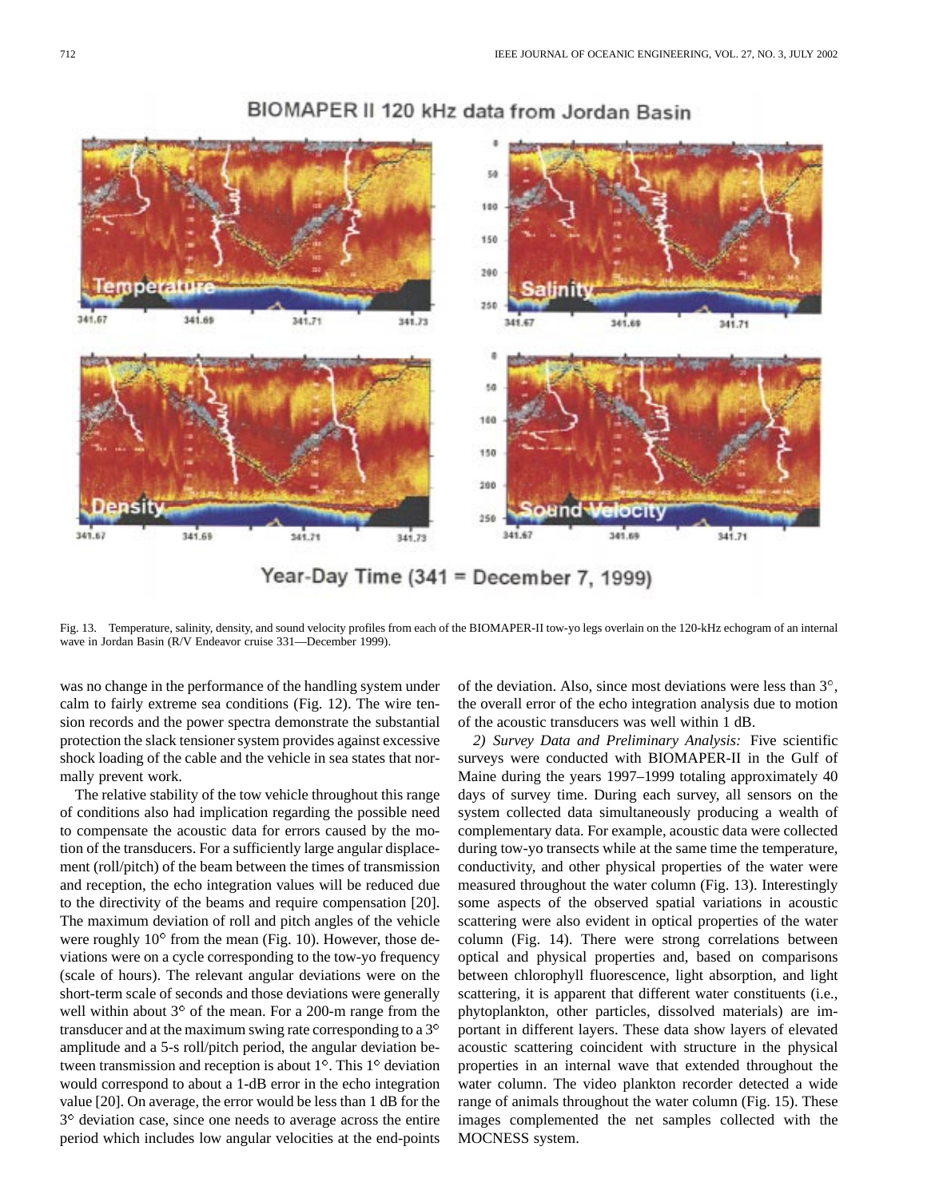

# BIOMAPER II 120 kHz data from Jordan Basin

Year-Day Time  $(341 = December 7, 1999)$ 

Fig. 13. Temperature, salinity, density, and sound velocity profiles from each of the BIOMAPER-II tow-yo legs overlain on the 120-kHz echogram of an internal wave in Jordan Basin (R/V Endeavor cruise 331—December 1999).

was no change in the performance of the handling system under calm to fairly extreme sea conditions (Fig. 12). The wire tension records and the power spectra demonstrate the substantial protection the slack tensioner system provides against excessive shock loading of the cable and the vehicle in sea states that normally prevent work.

The relative stability of the tow vehicle throughout this range of conditions also had implication regarding the possible need to compensate the acoustic data for errors caused by the motion of the transducers. For a sufficiently large angular displacement (roll/pitch) of the beam between the times of transmission and reception, the echo integration values will be reduced due to the directivity of the beams and require compensation [20]. The maximum deviation of roll and pitch angles of the vehicle were roughly  $10^{\circ}$  from the mean (Fig. 10). However, those deviations were on a cycle corresponding to the tow-yo frequency (scale of hours). The relevant angular deviations were on the short-term scale of seconds and those deviations were generally well within about  $3^{\circ}$  of the mean. For a 200-m range from the transducer and at the maximum swing rate corresponding to a 3 amplitude and a 5-s roll/pitch period, the angular deviation between transmission and reception is about  $1^\circ$ . This  $1^\circ$  deviation would correspond to about a 1-dB error in the echo integration value [20]. On average, the error would be less than 1 dB for the 3<sup>o</sup> deviation case, since one needs to average across the entire period which includes low angular velocities at the end-points of the deviation. Also, since most deviations were less than  $3^\circ$ , the overall error of the echo integration analysis due to motion of the acoustic transducers was well within 1 dB.

*2) Survey Data and Preliminary Analysis:* Five scientific surveys were conducted with BIOMAPER-II in the Gulf of Maine during the years 1997–1999 totaling approximately 40 days of survey time. During each survey, all sensors on the system collected data simultaneously producing a wealth of complementary data. For example, acoustic data were collected during tow-yo transects while at the same time the temperature, conductivity, and other physical properties of the water were measured throughout the water column (Fig. 13). Interestingly some aspects of the observed spatial variations in acoustic scattering were also evident in optical properties of the water column (Fig. 14). There were strong correlations between optical and physical properties and, based on comparisons between chlorophyll fluorescence, light absorption, and light scattering, it is apparent that different water constituents (i.e., phytoplankton, other particles, dissolved materials) are important in different layers. These data show layers of elevated acoustic scattering coincident with structure in the physical properties in an internal wave that extended throughout the water column. The video plankton recorder detected a wide range of animals throughout the water column (Fig. 15). These images complemented the net samples collected with the MOCNESS system.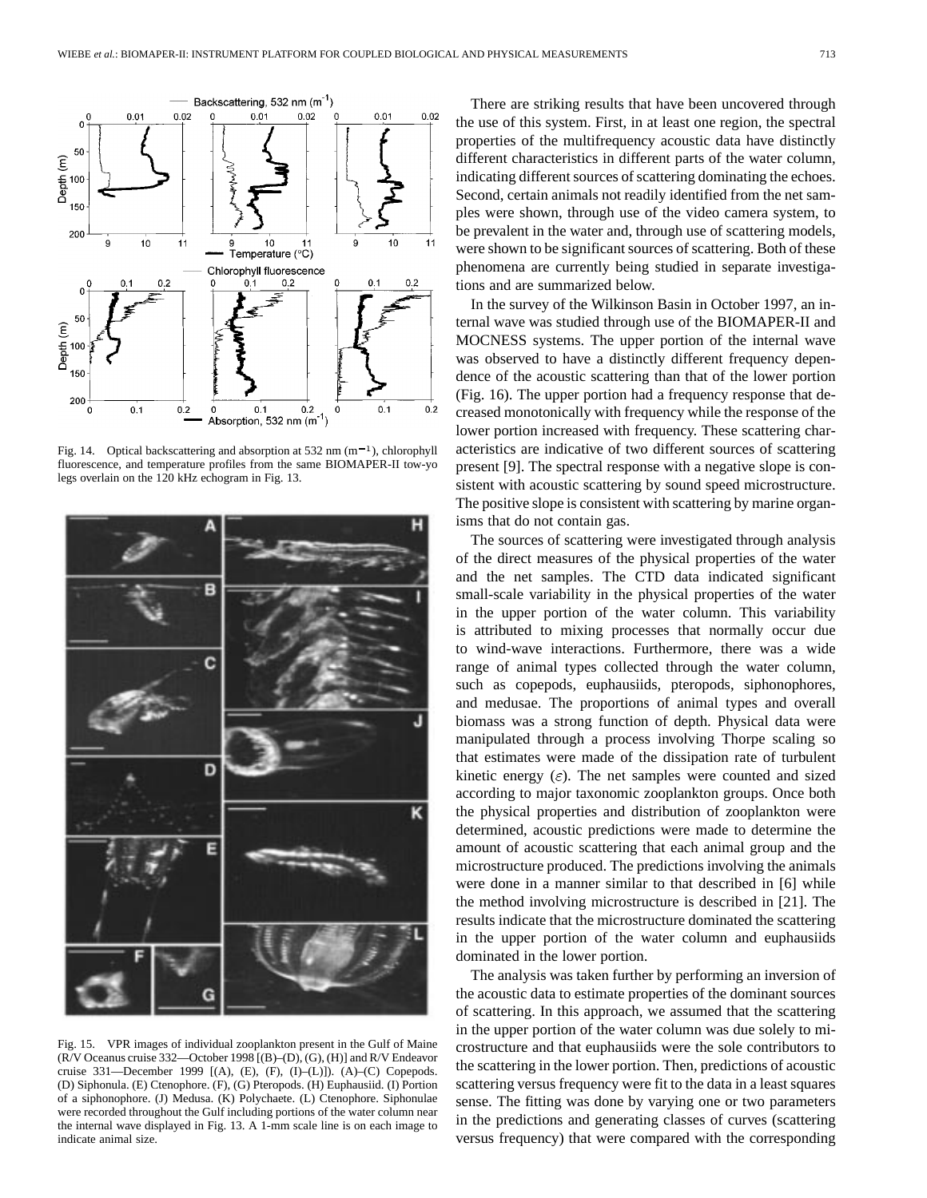

Fig. 14. Optical backscattering and absorption at 532 nm  $(m^{-1})$ , chlorophyll fluorescence, and temperature profiles from the same BIOMAPER-II tow-yo legs overlain on the 120 kHz echogram in Fig. 13.



Fig. 15. VPR images of individual zooplankton present in the Gulf of Maine (R/V Oceanus cruise 332—October 1998 [(B)–(D), (G), (H)] and R/V Endeavor cruise 331—December 1999 [(A), (E), (F), (I)–(L)]). (A)–(C) Copepods. (D) Siphonula. (E) Ctenophore. (F), (G) Pteropods. (H) Euphausiid. (I) Portion of a siphonophore. (J) Medusa. (K) Polychaete. (L) Ctenophore. Siphonulae were recorded throughout the Gulf including portions of the water column near the internal wave displayed in Fig. 13. A 1-mm scale line is on each image to indicate animal size.

There are striking results that have been uncovered through the use of this system. First, in at least one region, the spectral properties of the multifrequency acoustic data have distinctly different characteristics in different parts of the water column, indicating different sources of scattering dominating the echoes. Second, certain animals not readily identified from the net samples were shown, through use of the video camera system, to be prevalent in the water and, through use of scattering models, were shown to be significant sources of scattering. Both of these phenomena are currently being studied in separate investigations and are summarized below.

In the survey of the Wilkinson Basin in October 1997, an internal wave was studied through use of the BIOMAPER-II and MOCNESS systems. The upper portion of the internal wave was observed to have a distinctly different frequency dependence of the acoustic scattering than that of the lower portion (Fig. 16). The upper portion had a frequency response that decreased monotonically with frequency while the response of the lower portion increased with frequency. These scattering characteristics are indicative of two different sources of scattering present [9]. The spectral response with a negative slope is consistent with acoustic scattering by sound speed microstructure. The positive slope is consistent with scattering by marine organisms that do not contain gas.

The sources of scattering were investigated through analysis of the direct measures of the physical properties of the water and the net samples. The CTD data indicated significant small-scale variability in the physical properties of the water in the upper portion of the water column. This variability is attributed to mixing processes that normally occur due to wind-wave interactions. Furthermore, there was a wide range of animal types collected through the water column, such as copepods, euphausiids, pteropods, siphonophores, and medusae. The proportions of animal types and overall biomass was a strong function of depth. Physical data were manipulated through a process involving Thorpe scaling so that estimates were made of the dissipation rate of turbulent kinetic energy  $(\varepsilon)$ . The net samples were counted and sized according to major taxonomic zooplankton groups. Once both the physical properties and distribution of zooplankton were determined, acoustic predictions were made to determine the amount of acoustic scattering that each animal group and the microstructure produced. The predictions involving the animals were done in a manner similar to that described in [6] while the method involving microstructure is described in [21]. The results indicate that the microstructure dominated the scattering in the upper portion of the water column and euphausiids dominated in the lower portion.

The analysis was taken further by performing an inversion of the acoustic data to estimate properties of the dominant sources of scattering. In this approach, we assumed that the scattering in the upper portion of the water column was due solely to microstructure and that euphausiids were the sole contributors to the scattering in the lower portion. Then, predictions of acoustic scattering versus frequency were fit to the data in a least squares sense. The fitting was done by varying one or two parameters in the predictions and generating classes of curves (scattering versus frequency) that were compared with the corresponding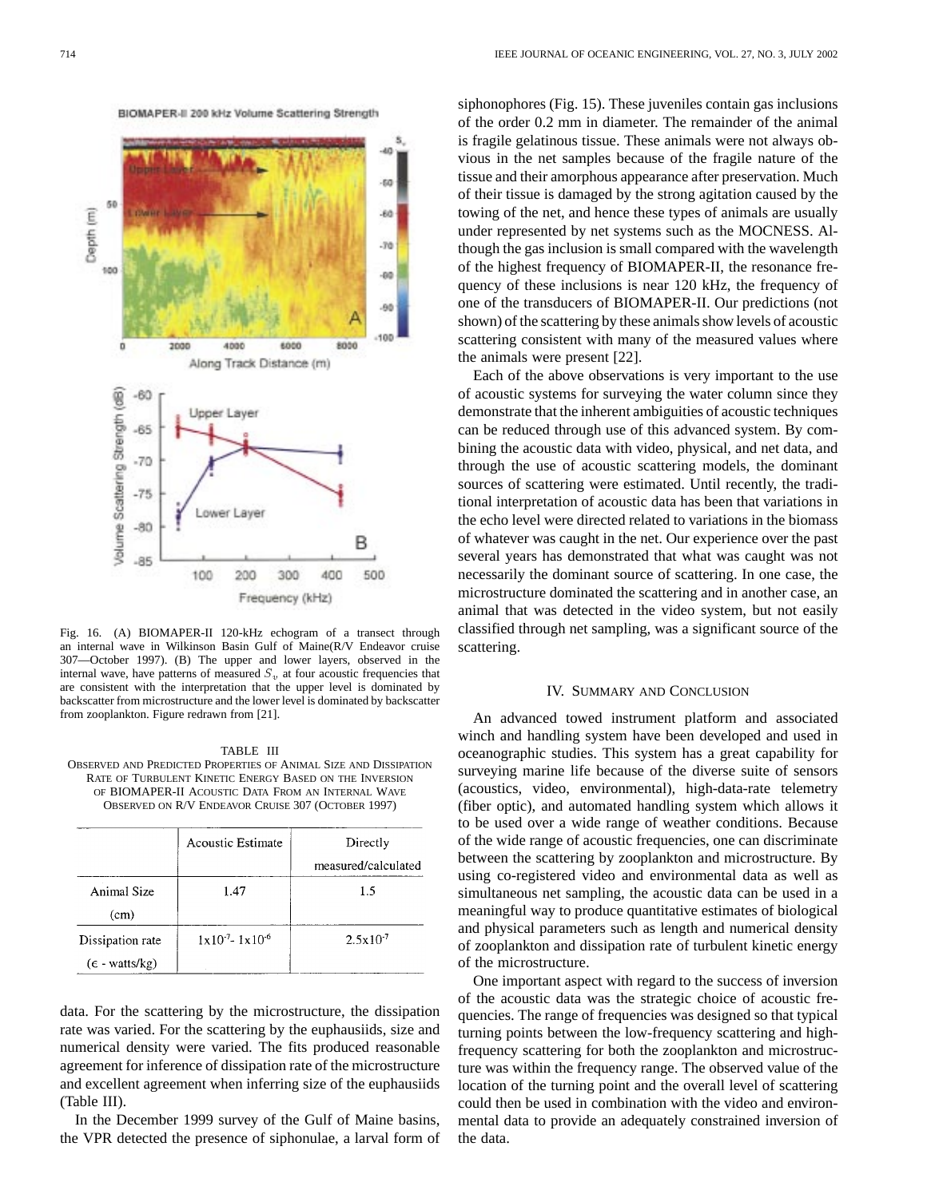BIOMAPER-II 200 kHz Volume Scattering Strength



Fig. 16. (A) BIOMAPER-II 120-kHz echogram of a transect through an internal wave in Wilkinson Basin Gulf of Maine(R/V Endeavor cruise 307—October 1997). (B) The upper and lower layers, observed in the internal wave, have patterns of measured  $S_v$  at four acoustic frequencies that are consistent with the interpretation that the upper level is dominated by backscatter from microstructure and the lower level is dominated by backscatter from zooplankton. Figure redrawn from [21].

#### TABLE III

OBSERVED AND PREDICTED PROPERTIES OF ANIMAL SIZE AND DISSIPATION RATE OF TURBULENT KINETIC ENERGY BASED ON THE INVERSION OF BIOMAPER-II ACOUSTIC DATA FROM AN INTERNAL WAVE OBSERVED ON R/V ENDEAVOR CRUISE 307 (OCTOBER 1997)

|                                             | <b>Acoustic Estimate</b>              | Directly             |
|---------------------------------------------|---------------------------------------|----------------------|
|                                             |                                       | measured/calculated  |
| Animal Size<br>(cm)                         | 1.47                                  | 1.5                  |
| Dissipation rate<br>$(\epsilon$ - watts/kg) | $1 \times 10^{-7} - 1 \times 10^{-6}$ | $2.5 \times 10^{-7}$ |

data. For the scattering by the microstructure, the dissipation rate was varied. For the scattering by the euphausiids, size and numerical density were varied. The fits produced reasonable agreement for inference of dissipation rate of the microstructure and excellent agreement when inferring size of the euphausiids (Table III).

In the December 1999 survey of the Gulf of Maine basins, the VPR detected the presence of siphonulae, a larval form of siphonophores (Fig. 15). These juveniles contain gas inclusions of the order 0.2 mm in diameter. The remainder of the animal is fragile gelatinous tissue. These animals were not always obvious in the net samples because of the fragile nature of the tissue and their amorphous appearance after preservation. Much of their tissue is damaged by the strong agitation caused by the towing of the net, and hence these types of animals are usually under represented by net systems such as the MOCNESS. Although the gas inclusion is small compared with the wavelength of the highest frequency of BIOMAPER-II, the resonance frequency of these inclusions is near 120 kHz, the frequency of one of the transducers of BIOMAPER-II. Our predictions (not shown) of the scattering by these animals show levels of acoustic scattering consistent with many of the measured values where the animals were present [22].

Each of the above observations is very important to the use of acoustic systems for surveying the water column since they demonstrate that the inherent ambiguities of acoustic techniques can be reduced through use of this advanced system. By combining the acoustic data with video, physical, and net data, and through the use of acoustic scattering models, the dominant sources of scattering were estimated. Until recently, the traditional interpretation of acoustic data has been that variations in the echo level were directed related to variations in the biomass of whatever was caught in the net. Our experience over the past several years has demonstrated that what was caught was not necessarily the dominant source of scattering. In one case, the microstructure dominated the scattering and in another case, an animal that was detected in the video system, but not easily classified through net sampling, was a significant source of the scattering.

# IV. SUMMARY AND CONCLUSION

An advanced towed instrument platform and associated winch and handling system have been developed and used in oceanographic studies. This system has a great capability for surveying marine life because of the diverse suite of sensors (acoustics, video, environmental), high-data-rate telemetry (fiber optic), and automated handling system which allows it to be used over a wide range of weather conditions. Because of the wide range of acoustic frequencies, one can discriminate between the scattering by zooplankton and microstructure. By using co-registered video and environmental data as well as simultaneous net sampling, the acoustic data can be used in a meaningful way to produce quantitative estimates of biological and physical parameters such as length and numerical density of zooplankton and dissipation rate of turbulent kinetic energy of the microstructure.

One important aspect with regard to the success of inversion of the acoustic data was the strategic choice of acoustic frequencies. The range of frequencies was designed so that typical turning points between the low-frequency scattering and highfrequency scattering for both the zooplankton and microstructure was within the frequency range. The observed value of the location of the turning point and the overall level of scattering could then be used in combination with the video and environmental data to provide an adequately constrained inversion of the data.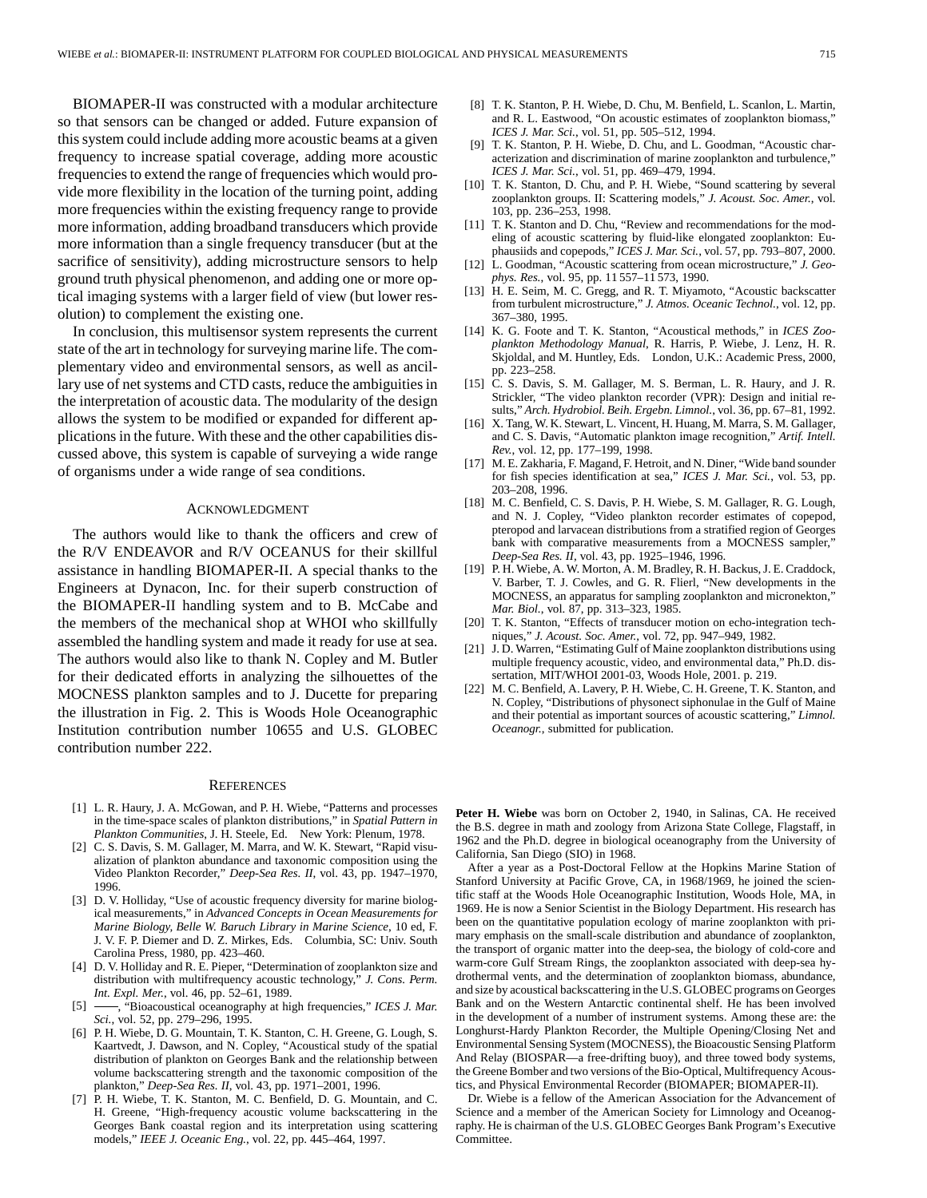BIOMAPER-II was constructed with a modular architecture so that sensors can be changed or added. Future expansion of this system could include adding more acoustic beams at a given frequency to increase spatial coverage, adding more acoustic frequencies to extend the range of frequencies which would provide more flexibility in the location of the turning point, adding more frequencies within the existing frequency range to provide more information, adding broadband transducers which provide more information than a single frequency transducer (but at the sacrifice of sensitivity), adding microstructure sensors to help ground truth physical phenomenon, and adding one or more optical imaging systems with a larger field of view (but lower resolution) to complement the existing one.

In conclusion, this multisensor system represents the current state of the art in technology for surveying marine life. The complementary video and environmental sensors, as well as ancillary use of net systems and CTD casts, reduce the ambiguities in the interpretation of acoustic data. The modularity of the design allows the system to be modified or expanded for different applications in the future. With these and the other capabilities discussed above, this system is capable of surveying a wide range of organisms under a wide range of sea conditions.

#### ACKNOWLEDGMENT

The authors would like to thank the officers and crew of the R/V ENDEAVOR and R/V OCEANUS for their skillful assistance in handling BIOMAPER-II. A special thanks to the Engineers at Dynacon, Inc. for their superb construction of the BIOMAPER-II handling system and to B. McCabe and the members of the mechanical shop at WHOI who skillfully assembled the handling system and made it ready for use at sea. The authors would also like to thank N. Copley and M. Butler for their dedicated efforts in analyzing the silhouettes of the MOCNESS plankton samples and to J. Ducette for preparing the illustration in Fig. 2. This is Woods Hole Oceanographic Institution contribution number 10655 and U.S. GLOBEC contribution number 222.

#### **REFERENCES**

- [1] L. R. Haury, J. A. McGowan, and P. H. Wiebe, "Patterns and processes in the time-space scales of plankton distributions," in *Spatial Pattern in Plankton Communities*, J. H. Steele, Ed. New York: Plenum, 1978.
- [2] C. S. Davis, S. M. Gallager, M. Marra, and W. K. Stewart, "Rapid visualization of plankton abundance and taxonomic composition using the Video Plankton Recorder," *Deep-Sea Res. II*, vol. 43, pp. 1947–1970, 1996.
- [3] D. V. Holliday, "Use of acoustic frequency diversity for marine biological measurements," in *Advanced Concepts in Ocean Measurements for Marine Biology, Belle W. Baruch Library in Marine Science*, 10 ed, F. J. V. F. P. Diemer and D. Z. Mirkes, Eds. Columbia, SC: Univ. South Carolina Press, 1980, pp. 423–460.
- [4] D. V. Holliday and R. E. Pieper, "Determination of zooplankton size and distribution with multifrequency acoustic technology," *J. Cons. Perm. Int. Expl. Mer.*, vol. 46, pp. 52–61, 1989.
- [5] , "Bioacoustical oceanography at high frequencies," *ICES J. Mar. Sci.*, vol. 52, pp. 279–296, 1995.
- [6] P. H. Wiebe, D. G. Mountain, T. K. Stanton, C. H. Greene, G. Lough, S. Kaartvedt, J. Dawson, and N. Copley, "Acoustical study of the spatial distribution of plankton on Georges Bank and the relationship between volume backscattering strength and the taxonomic composition of the plankton," *Deep-Sea Res. II*, vol. 43, pp. 1971–2001, 1996.
- [7] P. H. Wiebe, T. K. Stanton, M. C. Benfield, D. G. Mountain, and C. H. Greene, "High-frequency acoustic volume backscattering in the Georges Bank coastal region and its interpretation using scattering models," *IEEE J. Oceanic Eng.*, vol. 22, pp. 445–464, 1997.
- [8] T. K. Stanton, P. H. Wiebe, D. Chu, M. Benfield, L. Scanlon, L. Martin, and R. L. Eastwood, "On acoustic estimates of zooplankton biomass," *ICES J. Mar. Sci.*, vol. 51, pp. 505–512, 1994.
- [9] T. K. Stanton, P. H. Wiebe, D. Chu, and L. Goodman, "Acoustic characterization and discrimination of marine zooplankton and turbulence," *ICES J. Mar. Sci.*, vol. 51, pp. 469–479, 1994.
- [10] T. K. Stanton, D. Chu, and P. H. Wiebe, "Sound scattering by several zooplankton groups. II: Scattering models," *J. Acoust. Soc. Amer.*, vol. 103, pp. 236–253, 1998.
- [11] T. K. Stanton and D. Chu, "Review and recommendations for the modeling of acoustic scattering by fluid-like elongated zooplankton: Euphausiids and copepods," *ICES J. Mar. Sci.*, vol. 57, pp. 793–807, 2000.
- [12] L. Goodman, "Acoustic scattering from ocean microstructure," *J. Geophys. Res.*, vol. 95, pp. 11 557–11 573, 1990.
- [13] H. E. Seim, M. C. Gregg, and R. T. Miyamoto, "Acoustic backscatter from turbulent microstructure," *J. Atmos. Oceanic Technol.*, vol. 12, pp. 367–380, 1995.
- [14] K. G. Foote and T. K. Stanton, "Acoustical methods," in *ICES Zooplankton Methodology Manual*, R. Harris, P. Wiebe, J. Lenz, H. R. Skjoldal, and M. Huntley, Eds. London, U.K.: Academic Press, 2000, pp. 223–258.
- [15] C. S. Davis, S. M. Gallager, M. S. Berman, L. R. Haury, and J. R. Strickler, "The video plankton recorder (VPR): Design and initial results," *Arch. Hydrobiol. Beih. Ergebn. Limnol.*, vol. 36, pp. 67–81, 1992.
- [16] X. Tang, W. K. Stewart, L. Vincent, H. Huang, M. Marra, S. M. Gallager, and C. S. Davis, "Automatic plankton image recognition," *Artif. Intell. Rev.*, vol. 12, pp. 177–199, 1998.
- [17] M. E. Zakharia, F. Magand, F. Hetroit, and N. Diner, "Wide band sounder for fish species identification at sea," *ICES J. Mar. Sci.*, vol. 53, pp. 203–208, 1996.
- [18] M. C. Benfield, C. S. Davis, P. H. Wiebe, S. M. Gallager, R. G. Lough, and N. J. Copley, "Video plankton recorder estimates of copepod, pteropod and larvacean distributions from a stratified region of Georges bank with comparative measurements from a MOCNESS sampler," *Deep-Sea Res. II*, vol. 43, pp. 1925–1946, 1996.
- [19] P. H. Wiebe, A. W. Morton, A. M. Bradley, R. H. Backus, J. E. Craddock, V. Barber, T. J. Cowles, and G. R. Flierl, "New developments in the MOCNESS, an apparatus for sampling zooplankton and micronekton," *Mar. Biol.*, vol. 87, pp. 313–323, 1985.
- [20] T. K. Stanton, "Effects of transducer motion on echo-integration techniques," *J. Acoust. Soc. Amer.*, vol. 72, pp. 947–949, 1982.
- [21] J. D. Warren, "Estimating Gulf of Maine zooplankton distributions using multiple frequency acoustic, video, and environmental data," Ph.D. dissertation, MIT/WHOI 2001-03, Woods Hole, 2001. p. 219.
- [22] M. C. Benfield, A. Lavery, P. H. Wiebe, C. H. Greene, T. K. Stanton, and N. Copley, "Distributions of physonect siphonulae in the Gulf of Maine and their potential as important sources of acoustic scattering," *Limnol. Oceanogr.*, submitted for publication.

**Peter H. Wiebe** was born on October 2, 1940, in Salinas, CA. He received the B.S. degree in math and zoology from Arizona State College, Flagstaff, in 1962 and the Ph.D. degree in biological oceanography from the University of California, San Diego (SIO) in 1968.

After a year as a Post-Doctoral Fellow at the Hopkins Marine Station of Stanford University at Pacific Grove, CA, in 1968/1969, he joined the scientific staff at the Woods Hole Oceanographic Institution, Woods Hole, MA, in 1969. He is now a Senior Scientist in the Biology Department. His research has been on the quantitative population ecology of marine zooplankton with primary emphasis on the small-scale distribution and abundance of zooplankton, the transport of organic matter into the deep-sea, the biology of cold-core and warm-core Gulf Stream Rings, the zooplankton associated with deep-sea hydrothermal vents, and the determination of zooplankton biomass, abundance, and size by acoustical backscattering in the U.S. GLOBEC programs on Georges Bank and on the Western Antarctic continental shelf. He has been involved in the development of a number of instrument systems. Among these are: the Longhurst-Hardy Plankton Recorder, the Multiple Opening/Closing Net and Environmental Sensing System (MOCNESS), the Bioacoustic Sensing Platform And Relay (BIOSPAR—a free-drifting buoy), and three towed body systems, the Greene Bomber and two versions of the Bio-Optical, Multifrequency Acoustics, and Physical Environmental Recorder (BIOMAPER; BIOMAPER-II).

Dr. Wiebe is a fellow of the American Association for the Advancement of Science and a member of the American Society for Limnology and Oceanography. He is chairman of the U.S. GLOBEC Georges Bank Program's Executive Committee.